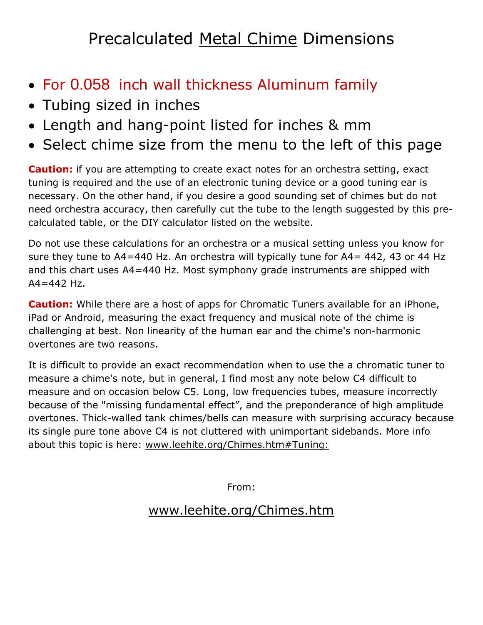## Precalculated Metal Chime Dimensions

- For 0.058 inch wall thickness Aluminum family
- Tubing sized in inches
- Length and hang-point listed for inches & mm
- Select chime size from the menu to the left of this page

**Caution:** if you are attempting to create exact notes for an orchestra setting, exact tuning is required and the use of an electronic tuning device or a good tuning ear is necessary. On the other hand, if you desire a good sounding set of chimes but do not need orchestra accuracy, then carefully cut the tube to the length suggested by this precalculated table, or the DIY calculator listed on the website.

Do not use these calculations for an orchestra or a musical setting unless you know for sure they tune to A4=440 Hz. An orchestra will typically tune for A4= 442, 43 or 44 Hz and this chart uses A4=440 Hz. Most symphony grade instruments are shipped with  $A4 = 442$  Hz.

**Caution:** While there are a host of apps for Chromatic Tuners available for an iPhone, iPad or Android, measuring the exact frequency and musical note of the chime is challenging at best. Non linearity of the human ear and the chime's non-harmonic overtones are two reasons.

It is difficult to provide an exact recommendation when to use the a chromatic tuner to measure a chime's note, but in general, I find most any note below C4 difficult to measure and on occasion below C5. Long, low frequencies tubes, measure incorrectly because of the "missing fundamental effect", and the preponderance of high amplitude overtones. Thick-walled tank chimes/bells can measure with surprising accuracy because its single pure tone above C4 is not cluttered with unimportant sidebands. More info about this topic is here: [www.leehite.org/Chimes.htm#Tuning:](http://leehite.org/Chimes.htm#Tuning:)

From:

## [www.leehite.org/Chimes.htm](http://www.leehite.org/Chimes.htm)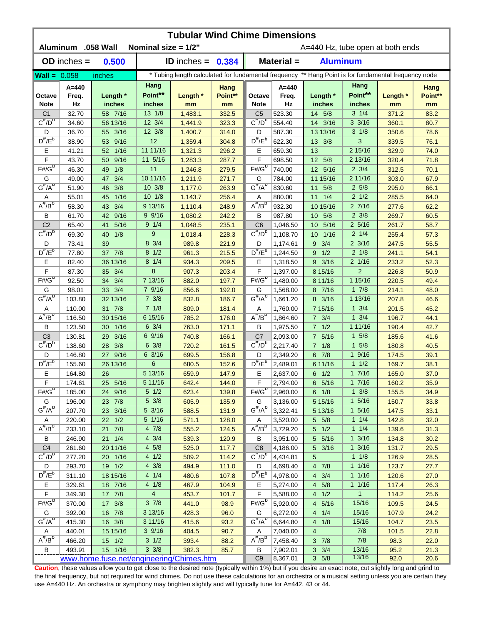| <b>Tubular Wind Chime Dimensions</b><br>Aluminum .058 Wall<br>Nominal size = $1/2$ "<br>A=440 Hz, tube open at both ends |                  |                                          |                        |                            |                 |                                     |                                                                                                      |                              |                           |               |                 |  |  |
|--------------------------------------------------------------------------------------------------------------------------|------------------|------------------------------------------|------------------------|----------------------------|-----------------|-------------------------------------|------------------------------------------------------------------------------------------------------|------------------------------|---------------------------|---------------|-----------------|--|--|
|                                                                                                                          | $OD$ inches $=$  | 0.500                                    |                        | <b>ID</b> inches = $0.384$ |                 |                                     | Material =                                                                                           | <b>Aluminum</b>              |                           |               |                 |  |  |
| $Wall = 0.058$                                                                                                           |                  | inches                                   |                        |                            |                 |                                     | * Tubing length calculated for fundamental frequency ** Hang Point is for fundamental frequency node |                              |                           |               |                 |  |  |
|                                                                                                                          |                  |                                          | Hang                   |                            |                 |                                     |                                                                                                      |                              | Hang                      |               |                 |  |  |
| Octave                                                                                                                   | A=440<br>Freq.   | Length *                                 | Point**                | Length *                   | Hang<br>Point** | Octave                              | $A=440$<br>Freq.                                                                                     | Length *                     | Point**                   | Length *      | Hang<br>Point** |  |  |
| <b>Note</b><br>C <sub>1</sub>                                                                                            | Hz<br>32.70      | inches<br>58 7/16                        | inches<br>13 1/8       | mm<br>1,483.1              | mm<br>332.5     | <b>Note</b><br>C <sub>5</sub>       | Hz<br>523.30                                                                                         | inches<br>14 5/8             | inches<br>$3 \frac{1}{4}$ | mm<br>371.2   | mm<br>83.2      |  |  |
| $C^{\#}/D^b$                                                                                                             | 34.60            | 56 13/16                                 | 12 3/4                 | 1,441.9                    | 323.3           | $C^{\#}/D^D$                        | 554.40                                                                                               | 14 3/16                      | $3 \frac{3}{16}$          | 360.1         | 80.7            |  |  |
| D                                                                                                                        | 36.70            | 55 3/16                                  | 12 3/8                 | 1,400.7                    | 314.0           | D                                   | 587.30                                                                                               | 13 13/16                     | $3 \frac{1}{8}$           | 350.6         | 78.6            |  |  |
| $D^{\#}/E^b$                                                                                                             | 38.90            | 53 9/16                                  | 12                     | 1,359.4                    | 304.8           | $D^{\prime\prime}/E^b$              | 622.30                                                                                               | 13 3/8                       | 3                         | 339.5         | 76.1            |  |  |
| Ε                                                                                                                        | 41.21            | $1/16$<br>52                             | 11 11/16               | 1,321.3                    | 296.2           | Ε                                   | 659.30                                                                                               | 13                           | 2 15/16                   | 329.9         | 74.0            |  |  |
| F                                                                                                                        | 43.70            | 9/16<br>50                               | 11 5/16                | 1,283.3                    | 287.7           | F                                   | 698.50                                                                                               | 12 5/8                       | 2 13/16                   | 320.4         | 71.8            |  |  |
| $F# / G^D$                                                                                                               | 46.30            | 1/8<br>49                                | 11                     | 1,246.8                    | 279.5           | $F#/\overline{G}^D$                 | 740.00                                                                                               | 12 5/16                      | $2 \frac{3}{4}$           | 312.5         | 70.1            |  |  |
| G                                                                                                                        | 49.00            | 3/4<br>47                                | 10 11/16               | 1,211.9                    | 271.7           | G                                   | 784.00                                                                                               | 11 15/16                     | 2 11/16                   | 303.0         | 67.9            |  |  |
| $G^{\#}/A^D$                                                                                                             | 51.90            | 3/8<br>46                                | 10 3/8                 | 1,177.0                    | 263.9           | $G^{\overline{n}}/A^D$              | 830.60                                                                                               | 5/8<br>11                    | $2\,5/8$                  | 295.0         | 66.1            |  |  |
| Α                                                                                                                        | 55.01            | 1/16<br>45                               | $10 \t1/8$             | 1,143.7                    | 256.4           | Α                                   | 880.00                                                                                               | 1/4<br>11                    | $2 \frac{1}{2}$           | 285.5         | 64.0            |  |  |
| $A^{\#}/B^{\circ}$                                                                                                       | 58.30            | 3/4<br>43                                | 9 13/16                | 1,110.4                    | 248.9           | $A^H/B^D$                           | 932.30                                                                                               | 10 15/16                     | 27/16                     | 277.6         | 62.2            |  |  |
| В                                                                                                                        | 61.70            | 9/16<br>42                               | 99/16                  | 1,080.2                    | 242.2           | B                                   | 987.80                                                                                               | 5/8<br>10 <sup>°</sup>       | $2 \frac{3}{8}$           | 269.7         | 60.5            |  |  |
| C <sub>2</sub>                                                                                                           | 65.40            | 5/16<br>41                               | $9 \t1/4$              | 1,048.5                    | 235.1           | C <sub>6</sub>                      | 1,046.50                                                                                             | 5/16<br>10 <sup>°</sup>      | $2\frac{5}{16}$           | 261.7         | 58.7            |  |  |
| $C^{\prime\prime}/D^D$                                                                                                   | 69.30            | 1/8<br>40                                | 9                      | 1,018.4                    | 228.3           | $C^{\prime\prime}/D^D$              | 1,108.70                                                                                             | 1/16<br>10 <sup>°</sup>      | $2 \t1/4$                 | 255.4         | 57.3            |  |  |
| D                                                                                                                        | 73.41            | 39                                       | 8 3/4                  | 989.8                      | 221.9           | D                                   | 1,174.61                                                                                             | 3/4<br>9                     | $2 \frac{3}{16}$          | 247.5         | 55.5            |  |  |
| $D^{\pi}/E^b$                                                                                                            | 77.80            | 37 7/8                                   | $8 \frac{1}{2}$        | 961.3                      | 215.5           | $D^{\pi}/E^b$                       | 1,244.50                                                                                             | 1/2<br>9                     | $2 \frac{1}{8}$           | 241.1         | 54.1            |  |  |
| Е                                                                                                                        | 82.40            | 36 13/16                                 | $8 \t1/4$              | 934.3                      | 209.5           | Е                                   | 1,318.50                                                                                             | $9 \frac{3}{16}$             | $2 \frac{1}{16}$          | 233.2         | 52.3            |  |  |
| F                                                                                                                        | 87.30            | 3/4<br>35                                | 8                      | 907.3                      | 203.4           | F                                   | 1,397.00                                                                                             | 8 15/16                      | $\overline{2}$            | 226.8         | 50.9            |  |  |
| $F# / G^D$                                                                                                               | 92.50            | 3/4<br>34                                | 7 13/16                | 882.0                      | 197.7           | $F# / G^D$                          | 1,480.00                                                                                             | 8 11/16                      | 1 15/16                   | 220.5         | 49.4            |  |  |
| G                                                                                                                        | 98.01            | 33 3/4                                   | 7 9/16                 | 856.6                      | 192.0           | G                                   | 1,568.00                                                                                             | 8 7/16                       | 17/8                      | 214.1         | 48.0            |  |  |
| $G^{\#}/A^D$                                                                                                             | 103.80           | 32 13/16                                 | $7 \frac{3}{8}$        | 832.8                      | 186.7           | $G^{\#}/A^D$                        | 1,661.20                                                                                             | 8 3/16                       | 1 13/16                   | 207.8         | 46.6            |  |  |
| Α                                                                                                                        | 110.00           | 31 7/8                                   | $7 \frac{1}{8}$        | 809.0                      | 181.4           | Α                                   | 1,760.00                                                                                             | 7 15/16                      | $1 \frac{3}{4}$           | 201.5         | 45.2            |  |  |
| $A^H/B^D$                                                                                                                | 116.50           | 30 15/16                                 | 6 15/16                | 785.2                      | 176.0           | $A^{\#}/B^D$                        | 1,864.60                                                                                             | $7 \frac{3}{4}$              | $1 \frac{3}{4}$           | 196.7         | 44.1            |  |  |
| B                                                                                                                        | 123.50           | 30 1/16                                  | $6 \frac{3}{4}$        | 763.0                      | 171.1           | B                                   | 1,975.50                                                                                             | $7 \frac{1}{2}$              | 1 11/16                   | 190.4         | 42.7            |  |  |
| C <sub>3</sub>                                                                                                           | 130.81           | 3/16<br>29                               | 6 9/16                 | 740.8                      | 166.1           | C <sub>7</sub>                      | 2,093.00                                                                                             | 7 5/16                       | 15/8                      | 185.6         | 41.6            |  |  |
| $C^{\#}/D^b$                                                                                                             | 138.60           | 3/8<br>28                                | $6 \frac{3}{8}$        | 720.2                      | 161.5           | $C^{\prime\prime}/D^{\prime\prime}$ | 2,217.40                                                                                             | $7 \t1/8$                    | 15/8                      | 180.8         | 40.5            |  |  |
| D                                                                                                                        | 146.80           | 27 9/16                                  | $6\frac{3}{16}$        | 699.5                      | 156.8           | D                                   | 2,349.20                                                                                             | 6 7/8                        | 1 9/16                    | 174.5         | 39.1            |  |  |
| $D^{\#}/E^b$                                                                                                             | 155.60           | 26 13/16                                 | $6\phantom{1}6$        | 680.5                      | 152.6           | $D^{\#}/E^b$                        | 2,489.01                                                                                             | 6 11/16                      | 11/2                      | 169.7         | 38.1            |  |  |
| Е                                                                                                                        | 164.80           | 26                                       | 5 13/16                | 659.9                      | 147.9           | Е                                   | 2,637.00                                                                                             | $6 \t1/2$                    | 17/16                     | 165.0         | 37.0            |  |  |
| F                                                                                                                        | 174.61           | 25 5/16                                  | 5 11/16                | 642.4                      | 144.0           | F                                   | 2,794.00                                                                                             | 6 5/16                       | 17/16                     | 160.2         | 35.9            |  |  |
| $F#/\overline{G}^{\sigma}$                                                                                               | 185.00           | 24 9/16                                  | $5 \frac{1}{2}$        | 623.4                      | 139.8           | $F# / G^D$                          | 2,960.00                                                                                             | $6 \t1/8$                    | $1 \frac{3}{8}$           | 155.5         | 34.9            |  |  |
| G                                                                                                                        | 196.00           | 23 7/8                                   | $5 \frac{3}{8}$        | 605.9                      | 135.9           | G                                   | 3,136.00                                                                                             | 5 15/16                      | $1 \frac{5}{16}$          | 150.7         | 33.8            |  |  |
| $G^{\#}/A^D$                                                                                                             | 207.70           | 23 3/16                                  | 5 3/16                 | 588.5                      | 131.9           | $G^H/A^U$                           | 3,322.41                                                                                             | 5 13/16                      | $1 \frac{5}{16}$          | 147.5         | 33.1            |  |  |
| A                                                                                                                        | 220.00           | 22 1/2                                   | 5 1/16                 | 571.1                      | 128.0           | Α                                   | 3,520.00                                                                                             | 5 5/8                        | $1 \t1/4$                 | 142.8         | 32.0            |  |  |
| $A^{\#}/B^D$                                                                                                             | 233.10           | 21 7/8                                   | 47/8                   | 555.2                      | 124.5           | $A^{\#}/B^D$                        | 3,729.20                                                                                             | $5 \quad 1/2$                | $1 \t1/4$                 | 139.6         | 31.3            |  |  |
| В                                                                                                                        | 246.90           | $21 \t1/4$                               | $4 \frac{3}{4}$        | 539.3                      | 120.9           | B                                   | 3,951.00                                                                                             | 5 5/16                       | $1 \frac{3}{16}$          | 134.8         | 30.2            |  |  |
| C <sub>4</sub>                                                                                                           | 261.60           | 20 11/16                                 | $4\,5/8$               | 525.0                      | 117.7           | C <sub>8</sub>                      | 4,186.00                                                                                             | 5 3/16                       | $1 \frac{3}{16}$          | 131.7         | 29.5            |  |  |
| $C^{\pi}/D^b$                                                                                                            | 277.20           | 20 1/16                                  | 4 1/2                  | 509.2                      | 114.2           | $C^{\pi}/D^b$                       | 4,434.81                                                                                             | 5                            | $1 \t1/8$                 | 126.9         | 28.5            |  |  |
| D                                                                                                                        | 293.70           | 19 1/2                                   | $4 \frac{3}{8}$        | 494.9                      | 111.0           | D                                   | 4,698.40                                                                                             | $4 \t7/8$                    | $1 \t1/16$                | 123.7         | 27.7            |  |  |
| $D^{\#}/E^b$                                                                                                             | 311.10           | 18 15/16                                 | 4 1/4                  | 480.6                      | 107.8           | $D^{\#}/E^b$                        | 4,978.00                                                                                             | $4 \t3/4$                    | 11/16                     | 120.6         | 27.0            |  |  |
| Е                                                                                                                        | 329.61           | 18 7/16                                  | 41/8<br>$\overline{4}$ | 467.9                      | 104.9           | Е                                   | 5,274.00                                                                                             | 4 5/8                        | 11/16<br>$\mathbf{1}$     | 117.4         | 26.3            |  |  |
| $\mathsf F$<br>$F#/\overline{G}^D$                                                                                       | 349.30           | 17 7/8                                   |                        | 453.7                      | 101.7           | F<br>$F# / G^D$                     | 5,588.00                                                                                             | 4 1/2                        |                           | 114.2         | 25.6            |  |  |
|                                                                                                                          | 370.00           | 17 3/8                                   | $3 \frac{7}{8}$        | 441.0                      | 98.9            |                                     | 5,920.00                                                                                             | 4 5/16                       | 15/16                     | 109.5         | 24.5            |  |  |
| G<br>$G^{\#}/A^D$                                                                                                        | 392.00           | 16 7/8                                   | 3 13/16                | 428.3                      | 96.0            | G<br>$G^H/A^D$                      | 6,272.00                                                                                             | 4 1/4                        | 15/16                     | 107.9         | 24.2            |  |  |
|                                                                                                                          | 415.30           | 16 3/8                                   | 3 11/16<br>3 9/16      | 415.6                      | 93.2            |                                     | 6,644.80                                                                                             | 4 1/8                        | 15/16                     | 104.7         | 23.5            |  |  |
| Α<br>$A^H/B^D$                                                                                                           | 440.01<br>466.20 | 15 15/16<br>$15 \t1/2$                   | $3 \frac{1}{2}$        | 404.5                      | 90.7<br>88.2    | A<br>$A^{\#}/B^D$                   | 7,040.00<br>7,458.40                                                                                 | $\overline{4}$<br>$3 \t 7/8$ | 7/8<br>7/8                | 101.5<br>98.3 | 22.8<br>22.0    |  |  |
| В                                                                                                                        | 493.91           | 15 1/16                                  | $3 \frac{3}{8}$        | 393.4<br>382.3             | 85.7            | B                                   | 7,902.01                                                                                             | $3 \frac{3}{4}$              | 13/16                     | 95.2          | 21.3            |  |  |
|                                                                                                                          |                  | www.home.fuse.net/engineering/Chimes.htm |                        |                            |                 | C <sub>9</sub>                      | 8,367.01                                                                                             | $3 \t5/8$                    | 13/16                     | 92.0          | 20.6            |  |  |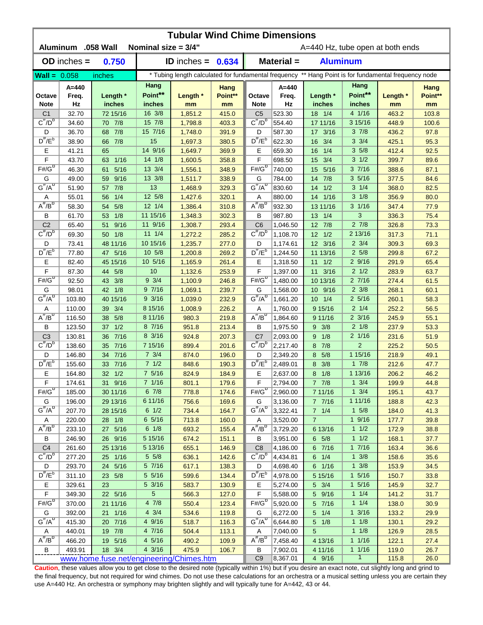| <b>Tubular Wind Chime Dimensions</b><br>Aluminum .058 Wall<br>Nominal size $= 3/4"$<br>A=440 Hz, tube open at both ends |                 |                        |                  |                     |                 |                                     |                                                                                                      |                    |                         |                |                 |  |  |
|-------------------------------------------------------------------------------------------------------------------------|-----------------|------------------------|------------------|---------------------|-----------------|-------------------------------------|------------------------------------------------------------------------------------------------------|--------------------|-------------------------|----------------|-----------------|--|--|
|                                                                                                                         | $OD$ inches $=$ | 0.750                  |                  | ID inches = $0.634$ |                 | Material =<br><b>Aluminum</b>       |                                                                                                      |                    |                         |                |                 |  |  |
| $Wall = 0.058$                                                                                                          |                 | inches                 |                  |                     |                 |                                     | * Tubing length calculated for fundamental frequency ** Hang Point is for fundamental frequency node |                    |                         |                |                 |  |  |
|                                                                                                                         |                 |                        | Hang             |                     |                 |                                     |                                                                                                      | Hang               |                         |                |                 |  |  |
| Octave                                                                                                                  | A=440<br>Freq.  | Length *               | Point**          | Length *            | Hang<br>Point** | Octave                              | $A=440$<br>Freq.                                                                                     | Length *           | Point**                 | Length *       | Hang<br>Point** |  |  |
| <b>Note</b>                                                                                                             | Hz              | inches                 | inches<br>16 3/8 | mm                  | mm              | <b>Note</b>                         | Hz                                                                                                   | inches             | inches<br>4 1/16        | mm             | mm              |  |  |
| C <sub>1</sub><br>$C^{\#}/D^b$                                                                                          | 32.70<br>34.60  | 72 15/16<br>70 7/8     | 15 7/8           | 1,851.2<br>1,798.8  | 415.0<br>403.3  | C <sub>5</sub><br>$C^{\#}/D^D$      | 523.30<br>554.40                                                                                     | 18 1/4<br>17 11/16 | 3 15/16                 | 463.2<br>448.9 | 103.8<br>100.6  |  |  |
| D                                                                                                                       | 36.70           | 7/8<br>68              | 15 7/16          | 1,748.0             | 391.9           | D                                   | 587.30                                                                                               | 17 3/16            | 37/8                    | 436.2          | 97.8            |  |  |
| $D^{\#}/E^b$                                                                                                            | 38.90           | 7/8<br>66              | 15               | 1,697.3             | 380.5           | $D^{\prime\prime}/E^b$              | 622.30                                                                                               | 3/4<br>16          | $3 \frac{3}{4}$         | 425.1          | 95.3            |  |  |
| Ε                                                                                                                       | 41.21           | 65                     | 14 9/16          | 1,649.7             | 369.9           | Ε                                   | 659.30                                                                                               | 1/4<br>16          | 35/8                    | 412.4          | 92.5            |  |  |
| F                                                                                                                       | 43.70           | $1/16$<br>63           | 14 1/8           | 1,600.5             | 358.8           | F                                   | 698.50                                                                                               | 3/4<br>15          | $3 \frac{1}{2}$         | 399.7          | 89.6            |  |  |
| $F# / G^D$                                                                                                              | 46.30           | 5/16<br>61             | 13 3/4           | 1,556.1             | 348.9           | $F#/\overline{G}^D$                 | 740.00                                                                                               | 5/16<br>15         | 37/16                   | 388.6          | 87.1            |  |  |
| G                                                                                                                       | 49.00           | 9/16<br>59             | 13 3/8           | 1,511.7             | 338.9           | G                                   | 784.00                                                                                               | 7/8<br>14          | 35/16                   | 377.5          | 84.6            |  |  |
| $G^{\#}/A^D$                                                                                                            | 51.90           | 7/8<br>57              | 13               | 1,468.9             | 329.3           | $G^H/A^D$                           | 830.60                                                                                               | 1/2<br>14          | $3 \t1/4$               | 368.0          | 82.5            |  |  |
| Α                                                                                                                       | 55.01           | 1/4<br>56              | 12 5/8           | 1,427.6             | 320.1           | Α                                   | 880.00                                                                                               | 1/16<br>14         | $3 \frac{1}{8}$         | 356.9          | 80.0            |  |  |
| $A^{\#}/B^{\circ}$                                                                                                      | 58.30           | 5/8<br>54              | $12 \frac{1}{4}$ | 1,386.4             | 310.8           | $A^H/B^D$                           | 932.30                                                                                               | 13 11/16           | $3 \frac{1}{16}$        | 347.4          | 77.9            |  |  |
| В                                                                                                                       | 61.70           | 1/8<br>53              | 11 15/16         | 1,348.3             | 302.3           | B                                   | 987.80                                                                                               | 13 1/4             | 3                       | 336.3          | 75.4            |  |  |
| C <sub>2</sub>                                                                                                          | 65.40           | 9/16<br>51             | 11 9/16          | 1,308.7             | 293.4           | C <sub>6</sub>                      | 1,046.50                                                                                             | 12 7/8             | $2 \t7/8$               | 326.8          | 73.3            |  |  |
| $C^{\prime\prime}/D^D$                                                                                                  | 69.30           | 50 1/8                 | $11 \t1/4$       | 1,272.2             | 285.2           | $\overline{C''}/D^D$                | 1,108.70                                                                                             | $12 \t1/2$         | 2 13/16                 | 317.3          | 71.1            |  |  |
| D                                                                                                                       | 73.41           | 48 11/16               | 10 15/16         | 1,235.7             | 277.0           | D                                   | 1,174.61                                                                                             | 12 3/16            | $2 \frac{3}{4}$         | 309.3          | 69.3            |  |  |
| $D^{\pi}/E^b$                                                                                                           | 77.80           | 5/16<br>47             | 10 5/8           | 1,200.8             | 269.2           | $D^{\pi}/E^b$                       | 1,244.50                                                                                             | 11 13/16           | 25/8                    | 299.8          | 67.2            |  |  |
| Е                                                                                                                       | 82.40           | 45 15/16               | 10 5/16          | 1,165.9             | 261.4           | Е                                   | 1,318.50                                                                                             | 11<br>1/2          | 29/16                   | 291.9          | 65.4            |  |  |
| F                                                                                                                       | 87.30           | 44<br>5/8              | 10               | 1,132.6             | 253.9           | F                                   | 1,397.00                                                                                             | 3/16<br>11         | $2 \frac{1}{2}$         | 283.9          | 63.7            |  |  |
| $F# / G^D$                                                                                                              | 92.50           | 3/8<br>43              | $9 \frac{3}{4}$  | 1,100.9             | 246.8           | $F# / G^D$                          | 1,480.00                                                                                             | 10 13/16           | 27/16                   | 274.4          | 61.5            |  |  |
| G                                                                                                                       | 98.01           | 1/8<br>42              | 97/16            | 1,069.1             | 239.7           | G                                   | 1,568.00                                                                                             | 10 9/16            | $2 \frac{3}{8}$         | 268.1          | 60.1            |  |  |
| $G^{\#}/A^D$                                                                                                            | 103.80          | 40 15/16               | $9 \frac{3}{16}$ | 1,039.0             | 232.9           | $G^{\#}/A^D$                        | 1,661.20                                                                                             | $10 \t1/4$         | $2\;5/16$               | 260.1          | 58.3            |  |  |
| Α                                                                                                                       | 110.00          | 3/4<br>39              | 8 15/16          | 1,008.9             | 226.2           | Α                                   | 1,760.00                                                                                             | 9 15/16            | $2 \frac{1}{4}$         | 252.2          | 56.5            |  |  |
| $A^H/B^D$                                                                                                               | 116.50          | 5/8<br>38              | 8 11/16          | 980.3               | 219.8           | $A^{\#}/B^D$                        | 1,864.60                                                                                             | 9 11/16            | $2 \frac{3}{16}$        | 245.9          | 55.1            |  |  |
| B                                                                                                                       | 123.50          | 1/2<br>37 <sup>2</sup> | 8 7/16           | 951.8               | 213.4           | B                                   | 1,975.50                                                                                             | $9 \t3/8$          | $2 \frac{1}{8}$         | 237.9          | 53.3            |  |  |
| C <sub>3</sub>                                                                                                          | 130.81          | 7/16<br>36             | 8 3/16           | 924.8               | 207.3           | C <sub>7</sub>                      | 2,093.00                                                                                             | 9 1/8              | $2 \frac{1}{16}$        | 231.6          | 51.9            |  |  |
| $C^{\#}/D^b$                                                                                                            | 138.60          | 35 7/16                | 7 15/16          | 899.4               | 201.6           | $C^{\prime\prime}/D^{\prime\prime}$ | 2,217.40                                                                                             | 8 7/8              | $\overline{2}$          | 225.2          | 50.5            |  |  |
| D                                                                                                                       | 146.80          | 34 7/16                | $7 \frac{3}{4}$  | 874.0               | 196.0           | D                                   | 2,349.20                                                                                             | 8 5/8              | 1 15/16                 | 218.9          | 49.1            |  |  |
| $D^{\#}/E^b$                                                                                                            | 155.60          | 7/16<br>33             | 71/2             | 848.6               | 190.3           | $D^{\#}/E^b$                        | 2,489.01                                                                                             | 8 3/8              | 17/8                    | 212.6          | 47.7            |  |  |
| Е                                                                                                                       | 164.80          | 32 1/2                 | 7 5/16           | 824.9               | 184.9           | Е                                   | 2,637.00                                                                                             | $8 \t1/8$          | 1 13/16                 | 206.2          | 46.2            |  |  |
| F                                                                                                                       | 174.61          | 31 9/16                | 7 1/16           | 801.1               | 179.6           | F                                   | 2,794.00                                                                                             | 7 7/8              | $1 \t3/4$               | 199.9          | 44.8            |  |  |
| $F# / G^D$                                                                                                              | 185.00          | 30 11/16               | 67/8             | 778.8               | 174.6           | $F#/G^D$                            | 2,960.00                                                                                             | 7 11/16            | $1 \frac{3}{4}$         | 195.1          | 43.7            |  |  |
| G                                                                                                                       | 196.00          | 29 13/16               | 6 11/16          | 756.6               | 169.6           | G                                   | 3,136.00                                                                                             | 7 7/16             | 1 11/16                 | 188.8          | 42.3            |  |  |
| $G^{\#}/A^D$                                                                                                            | 207.70          | 28 15/16               | $6 \frac{1}{2}$  | 734.4               | 164.7           | $G^H/A^D$                           | 3,322.41                                                                                             | 7 1/4              | $1 \t5/8$               | 184.0          | 41.3            |  |  |
| A                                                                                                                       | 220.00          | 28 1/8                 | 6 5/16           | 713.8               | 160.0           | Α                                   | 3,520.00                                                                                             | $\overline{7}$     | $1 \frac{9}{16}$        | 177.7          | 39.8            |  |  |
| $A^{\#}/B^D$                                                                                                            | 233.10          | 27 5/16                | $6 \t1/8$        | 693.2               | 155.4           | $A^{\#}/B^D$                        | 3,729.20                                                                                             | 6 13/16            | 11/2                    | 172.9          | 38.8            |  |  |
| В                                                                                                                       | 246.90          | 26 9/16                | 5 15/16          | 674.2               | 151.1           | B                                   | 3,951.00                                                                                             | $6\quad 5/8$       | 11/2                    | 168.1          | 37.7            |  |  |
| C <sub>4</sub>                                                                                                          | 261.60          | 25 13/16               | 5 13/16          | 655.1               | 146.9           | C <sub>8</sub>                      | 4,186.00                                                                                             | 6 7/16             | 17/16                   | 163.4          | 36.6            |  |  |
| $C^{\frac{\pi}{}}/D^b$                                                                                                  | 277.20          | 25 1/16                | $5 \frac{5}{8}$  | 636.1               | 142.6           | $C^{\prime\prime}/D^b$              | 4,434.81                                                                                             | $6 \t1/4$          | $1 \frac{3}{8}$         | 158.6          | 35.6            |  |  |
| D                                                                                                                       | 293.70          | 24 5/16                | 5 7/16           | 617.1               | 138.3           | D                                   | 4,698.40                                                                                             | 6 1/16             | $1 \frac{3}{8}$         | 153.9          | 34.5            |  |  |
| $D^{\#}/E^b$                                                                                                            | 311.10          | 23 5/8                 | 5 5/16           | 599.6               | 134.4           | $D^{\pi}/E^b$                       | 4,978.00                                                                                             | 5 15/16            | $1 \t5/16$              | 150.7          | 33.8            |  |  |
| Е                                                                                                                       | 329.61          | 23                     | 5 3/16           | 583.7               | 130.9           | Е                                   | 5,274.00                                                                                             | $5 \frac{3}{4}$    | $1 \frac{5}{16}$        | 145.9          | 32.7            |  |  |
| $\mathsf F$                                                                                                             | 349.30          | 22 5/16                | $5\phantom{.0}$  | 566.3               | 127.0           | F                                   | 5,588.00                                                                                             | 5 9/16             | $1 \t1/4$               | 141.2          | 31.7            |  |  |
| $F# / G^D$                                                                                                              | 370.00          | 21 11/16               | 47/8             | 550.4               | 123.4           | $F# / G^D$                          | 5,920.00                                                                                             | 5 7/16             | $1 \t1/4$               | 138.0          | 30.9            |  |  |
| G                                                                                                                       | 392.00          | 21 1/16                | $4 \frac{3}{4}$  | 534.6               | 119.8           | G                                   | 6,272.00                                                                                             | $5 \t1/4$          | $1 \frac{3}{16}$        | 133.2          | 29.9            |  |  |
| $G^{\#}/A^D$                                                                                                            | 415.30          | 20 7/16                | 4 9/16           | 518.7               | 116.3           | $G^H/A^D$                           | 6,644.80                                                                                             | $5 \t1/8$          | $1 \t1/8$               | 130.1          | 29.2            |  |  |
| Α                                                                                                                       | 440.01          | 19 7/8                 | 4 7/16           | 504.4               | 113.1           | A                                   | 7,040.00                                                                                             | 5                  | $1 \t1/8$               | 126.9          | 28.5            |  |  |
| $\overline{A^{\#}/B^{\sigma}}$                                                                                          | 466.20          | 19 5/16                | 4 5/16           | 490.2               | 109.9           | $A^H/B^D$                           | 7,458.40                                                                                             | 4 13/16            | $1 \t1/16$              | 122.1          | 27.4            |  |  |
| В                                                                                                                       | 493.91          | 18 3/4                 | 4 3/16           | 475.9               | 106.7           | B<br>C <sub>9</sub>                 | 7,902.01                                                                                             | 4 11/16            | 11/16<br>$\overline{1}$ | 119.0          | 26.7            |  |  |
| www.home.fuse.net/engineering/Chimes.htm                                                                                |                 |                        |                  |                     |                 |                                     | 8,367.01                                                                                             | 4 9/16             |                         | 115.8          | 26.0            |  |  |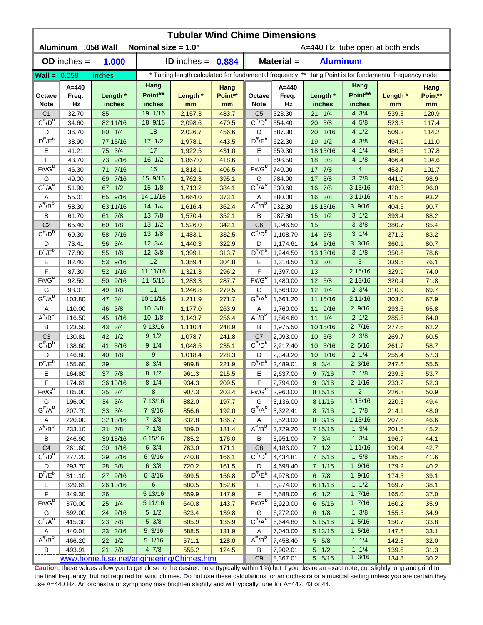| <b>Tubular Wind Chime Dimensions</b><br>Aluminum .058 Wall<br>Nominal size = 1.0"<br>A=440 Hz, tube open at both ends |                 |                          |                  |                     |                |                                                                                                      |                      |                         |                               |                |              |  |  |
|-----------------------------------------------------------------------------------------------------------------------|-----------------|--------------------------|------------------|---------------------|----------------|------------------------------------------------------------------------------------------------------|----------------------|-------------------------|-------------------------------|----------------|--------------|--|--|
|                                                                                                                       | $OD$ inches $=$ | 1.000                    |                  | ID inches = $0.884$ |                | Material =<br><b>Aluminum</b>                                                                        |                      |                         |                               |                |              |  |  |
| Wall = $0.058$                                                                                                        |                 | inches                   |                  |                     |                | * Tubing length calculated for fundamental frequency ** Hang Point is for fundamental frequency node |                      |                         |                               |                |              |  |  |
|                                                                                                                       | A=440           |                          | Hang             |                     | Hang           |                                                                                                      | $A = 440$            |                         | Hang                          |                | Hang         |  |  |
| Octave                                                                                                                | Freq.           | Length *                 | Point**          | Length *            | Point**        | Octave                                                                                               | Freq.                | Length *                | Point**                       | Length *       | Point**      |  |  |
| <b>Note</b>                                                                                                           | Hz              | inches                   | inches           | mm                  | mm             | <b>Note</b>                                                                                          | Hz                   | inches                  | inches                        | mm             | mm           |  |  |
| C <sub>1</sub>                                                                                                        | 32.70           | 85                       | 19 1/16          | 2,157.3             | 483.7          | C <sub>5</sub>                                                                                       | 523.30               | $21 \t1/4$              | $4 \frac{3}{4}$               | 539.3          | 120.9        |  |  |
| $C^{\#}/D^b$                                                                                                          | 34.60           | 82 11/16                 | 18 9/16          | 2,098.6             | 470.5          | $C^{\#}/D^D$                                                                                         | 554.40               | 5/8<br>20               | 4 5/8                         | 523.5          | 117.4        |  |  |
| D                                                                                                                     | 36.70           | 80 1/4                   | 18               | 2,036.7             | 456.6          | D                                                                                                    | 587.30               | 1/16<br>20              | 41/2                          | 509.2          | 114.2        |  |  |
| $D^{\#}/E^b$                                                                                                          | 38.90           | 77 15/16                 | $17 \frac{1}{2}$ | 1,978.1             | 443.5          | $D^{\#}/E^b$                                                                                         | 622.30               | 1/2<br>19               | $4 \frac{3}{8}$               | 494.9          | 111.0        |  |  |
| Ε                                                                                                                     | 41.21           | 75 3/4                   | 17               | 1,922.5             | 431.0          | Е                                                                                                    | 659.30               | 18 15/16                | 4 1/4                         | 480.6          | 107.8        |  |  |
| F                                                                                                                     | 43.70           | 73 9/16                  | 16 1/2           | 1,867.0             | 418.6          | F                                                                                                    | 698.50               | 18<br>3/8               | 4 1/8                         | 466.4          | 104.6        |  |  |
| $F# / G^D$                                                                                                            | 46.30           | $7/16$<br>71             | 16               | 1,813.1             | 406.5          | $F#/\overline{G}^D$                                                                                  | 740.00               | 7/8<br>17               | $\overline{4}$                | 453.7          | 101.7        |  |  |
| G                                                                                                                     | 49.00           | $7/16$<br>69             | 15 9/16          | 1,762.3             | 395.1          | G                                                                                                    | 784.00               | 3/8<br>17               | $3 \frac{7}{8}$               | 441.0          | 98.9         |  |  |
| $G^{\#}/A^D$                                                                                                          | 51.90           | 1/2<br>67                | $15 \t1/8$       | 1,713.2             | 384.1          | $G^H/A^D$                                                                                            | 830.60               | 7/8<br>16               | 3 13/16                       | 428.3          | 96.0         |  |  |
| Α                                                                                                                     | 55.01           | 65 9/16                  | 14 11/16         | 1,664.0             | 373.1          | Α                                                                                                    | 880.00               | 3/8<br>16               | 3 11/16                       | 415.6          | 93.2         |  |  |
| $A^{\#}/B^D$                                                                                                          | 58.30           | 63 11/16                 | 14 1/4           | 1,616.4             | 362.4          | $A^H/B^D$                                                                                            | 932.30               | 15 15/16                | 39/16                         | 404.5          | 90.7         |  |  |
| В                                                                                                                     | 61.70           | 7/8<br>61                | 13 7/8           | 1,570.4             | 352.1          | B                                                                                                    | 987.80               | 1/2<br>15               | $3 \frac{1}{2}$               | 393.4          | 88.2         |  |  |
| C <sub>2</sub>                                                                                                        | 65.40           | 1/8<br>60                | 13 1/2           | 1,526.0             | 342.1          | C <sub>6</sub>                                                                                       | 1,046.50             | 15                      | $3 \frac{3}{8}$               | 380.7          | 85.4         |  |  |
| $C^{\#}/D^D$                                                                                                          | 69.30           | 7/16<br>58               | 13 1/8           | 1,483.1             | 332.5          | $C^{\prime\prime}/D^D$                                                                               | 1,108.70             | 5/8<br>14               | $3 \t1/4$                     | 371.2          | 83.2         |  |  |
| D<br>$D^{\frac{\pi}{}}/E^b$                                                                                           | 73.41           | 3/4<br>56                | 12 3/4           | 1,440.3             | 322.9          | D<br>$D^{\pi}/E^b$                                                                                   | 1,174.61             | 14<br>3/16              | $3 \frac{3}{16}$              | 360.1          | 80.7         |  |  |
|                                                                                                                       | 77.80           | 1/8<br>55                | 12 3/8<br>12     | 1,399.1             | 313.7          |                                                                                                      | 1,244.50             | 13 13/16                | $3 \frac{1}{8}$<br>3          | 350.6          | 78.6         |  |  |
| Е<br>F                                                                                                                | 82.40<br>87.30  | 9/16<br>53<br>1/16<br>52 | 11 11/16         | 1,359.4<br>1,321.3  | 304.8<br>296.2 | Е<br>F                                                                                               | 1,318.50<br>1,397.00 | 13 3/8<br>13            | 2 15/16                       | 339.5<br>329.9 | 76.1<br>74.0 |  |  |
| $F# / G^D$                                                                                                            | 92.50           | 9/16<br>50               | 11 5/16          | 1,283.3             | 287.7          | $F# / G^D$                                                                                           | 1,480.00             | 12 5/8                  | 2 13/16                       | 320.4          | 71.8         |  |  |
| G                                                                                                                     | 98.01           | 1/8<br>49                | 11               | 1,246.8             | 279.5          | G                                                                                                    | 1,568.00             | $12 \t1/4$              | $2 \frac{3}{4}$               | 310.9          | 69.7         |  |  |
| $G^{\#}/A^D$                                                                                                          | 103.80          | 3/4<br>47                | 10 11/16         | 1,211.9             | 271.7          | $G^{\#}/A^D$                                                                                         | 1,661.20             | 11 15/16                | 2 11/16                       | 303.0          | 67.9         |  |  |
| Α                                                                                                                     | 110.00          | 3/8<br>46                | 10 3/8           | 1,177.0             | 263.9          | Α                                                                                                    | 1,760.00             | 9/16<br>11              | 29/16                         | 293.5          | 65.8         |  |  |
| $A^{\#}/B^{\sigma}$                                                                                                   | 116.50          | 1/16<br>45               | 101/8            | 1,143.7             | 256.4          | $A^H/B^D$                                                                                            | 1,864.60             | $11 \t1/4$              | $2 \frac{1}{2}$               | 285.5          | 64.0         |  |  |
| B                                                                                                                     | 123.50          | 3/4<br>43                | 9 13/16          | 1,110.4             | 248.9          | В                                                                                                    | 1,975.50             | 10 15/16                | 27/16                         | 277.6          | 62.2         |  |  |
| C <sub>3</sub>                                                                                                        | 130.81          | 1/2<br>42                | $9 \frac{1}{2}$  | 1,078.7             | 241.8          | C <sub>7</sub>                                                                                       | 2,093.00             | 10 5/8                  | $2 \frac{3}{8}$               | 269.7          | 60.5         |  |  |
| $C^{\#}/D^b$                                                                                                          | 138.60          | 5/16<br>41               | $9 \t1/4$        | 1,048.5             | 235.1          | $C^{\#}/D^D$                                                                                         | 2,217.40             | 10 5/16                 | $2\;5/16$                     | 261.7          | 58.7         |  |  |
| D                                                                                                                     | 146.80          | 40<br>1/8                | 9                | 1,018.4             | 228.3          | D                                                                                                    | 2,349.20             | 1/16<br>10 <sup>°</sup> | $2 \frac{1}{4}$               | 255.4          | 57.3         |  |  |
| $D^{\#}/E^b$                                                                                                          | 155.60          | 39                       | 8 3/4            | 989.8               | 221.9          | $D^{\#}/E^b$                                                                                         | 2,489.01             | $9 \t3/4$               | $2 \frac{3}{16}$              | 247.5          | 55.5         |  |  |
| Е                                                                                                                     | 164.80          | 37 7/8                   | $8 \frac{1}{2}$  | 961.3               | 215.5          | Е                                                                                                    | 2,637.00             | 9 7/16                  | $2 \frac{1}{8}$               | 239.5          | 53.7         |  |  |
| F                                                                                                                     | 174.61          | 36 13/16                 | $8 \t1/4$        | 934.3               | 209.5          | F                                                                                                    | 2,794.00             | 9 3/16                  | $2 \frac{1}{16}$              | 233.2          | 52.3         |  |  |
| $F#/\overline{G}^{\sigma}$                                                                                            | 185.00          | 35 3/4                   | 8                | 907.3               | 203.4          | $F#/\overline{G}^{\mathbb{D}}$                                                                       | 2,960.00             | 8 15/16                 | $\overline{c}$                | 226.8          | 50.9         |  |  |
| G                                                                                                                     | 196.00          | 34 3/4                   | 7 13/16          | 882.0               | 197.7          | G                                                                                                    | 3,136.00             | 8 11/16                 | 1 15/16                       | 220.5          | 49.4         |  |  |
| $G^{\#}/A^D$                                                                                                          | 207.70          | 33 3/4                   | 7 9/16           | 856.6               | 192.0          | $G^H/A^D$                                                                                            | 3,322.41             | 8 7/16                  | $1 \t7/8$                     | 214.1          | 48.0         |  |  |
| A                                                                                                                     | 220.00          | 32 13/16                 | $7 \frac{3}{8}$  | 832.8               | 186.7          | Α                                                                                                    | 3,520.00             | 8 3/16                  | 1 13/16                       | 207.8          | 46.6         |  |  |
| $A^{\#}/B^D$                                                                                                          | 233.10          | 31 7/8                   | $7 \t1/8$        | 809.0               | 181.4          | $A^H/B^D$                                                                                            | 3,729.20             | 7 15/16                 | $1 \frac{3}{4}$               | 201.5          | 45.2         |  |  |
| В                                                                                                                     | 246.90          | 30 15/16                 | 6 15/16          | 785.2               | 176.0          | В                                                                                                    | 3,951.00             | $7 \frac{3}{4}$         | $1 \frac{3}{4}$               | 196.7          | 44.1         |  |  |
| C <sub>4</sub>                                                                                                        | 261.60          | 30 1/16                  | $6 \frac{3}{4}$  | 763.0               | 171.1          | C <sub>8</sub>                                                                                       | 4,186.00             | $7 1/2$                 | 1 11/16                       | 190.4          | 42.7         |  |  |
| $C^{\overline{n}}/D^b$                                                                                                | 277.20          | 29 3/16                  | 6 9/16           | 740.8               | 166.1          | $C^{\#}/D^b$                                                                                         | 4,434.81             | 7 5/16                  | $1 \t5/8$                     | 185.6          | 41.6         |  |  |
| D                                                                                                                     | 293.70          | 28 3/8                   | $6 \frac{3}{8}$  | 720.2               | 161.5          | D                                                                                                    | 4,698.40             | 7 1/16                  | 19/16                         | 179.2          | 40.2         |  |  |
| $D^{\#}/E^b$                                                                                                          | 311.10          | 27 9/16                  | 63/16            | 699.5               | 156.8          | $D^{\pi}/E^b$                                                                                        | 4,978.00             | $6 \t7/8$               | 19/16                         | 174.5          | 39.1         |  |  |
| Е                                                                                                                     | 329.61          | 26 13/16                 | 6                | 680.5               | 152.6          | Е                                                                                                    | 5,274.00             | 6 11/16                 | 11/2                          | 169.7          | 38.1         |  |  |
| F                                                                                                                     | 349.30          | 26                       | 5 13/16          | 659.9               | 147.9          | F                                                                                                    | 5,588.00             | $6 \t1/2$               | 17/16                         | 165.0          | 37.0         |  |  |
| $F#/\overline{G}^D$                                                                                                   | 370.00          | 25 1/4                   | 5 11/16          | 640.8               | 143.7          | $F# / G^D$                                                                                           | 5,920.00             | 6 5/16                  | 17/16                         | 160.2          | 35.9         |  |  |
| G                                                                                                                     | 392.00          | 24 9/16                  | $5\quad1/2$      | 623.4               | 139.8          | G                                                                                                    | 6,272.00             | $6 \t1/8$               | $1 \frac{3}{8}$               | 155.5          | 34.9         |  |  |
| $G^{\#}/A^D$                                                                                                          | 415.30          | 23 7/8                   | $5 \frac{3}{8}$  | 605.9               | 135.9          | $G^{\#}/A^D$                                                                                         | 6,644.80             | 5 15/16                 | $1 \frac{5}{16}$              | 150.7          | 33.8         |  |  |
| Α                                                                                                                     | 440.01          | 23 3/16                  | 5 3/16           | 588.5               | 131.9          | Α                                                                                                    | 7,040.00             | 5 13/16                 | $1 \frac{5}{16}$              | 147.5          | 33.1         |  |  |
| $\overline{A^{\#}/B^{\sigma}}$                                                                                        | 466.20          | 22 1/2                   | 5 1/16           | 571.1               | 128.0          | $A^H/B^D$                                                                                            | 7,458.40             | $5 \t5/8$               | $1 \t1/4$                     | 142.8          | 32.0         |  |  |
| В                                                                                                                     | 493.91          | 21 7/8                   | 47/8             | 555.2               | 124.5          | В                                                                                                    | 7,902.01             | $5 \quad 1/2$           | $1 \t1/4$<br>$1 \frac{3}{16}$ | 139.6          | 31.3         |  |  |
| www.home.fuse.net/engineering/Chimes.htm                                                                              |                 |                          |                  |                     |                | C <sub>9</sub>                                                                                       | 8,367.01             | 5 5/16                  |                               | 134.8          | 30.2         |  |  |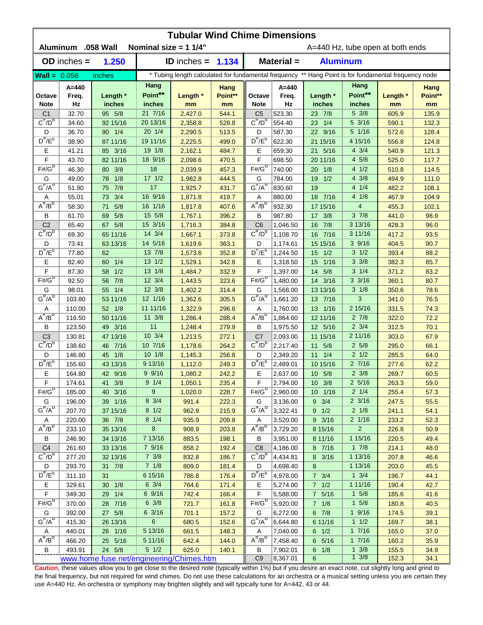| Aluminum .058 Wall<br>Nominal size = $11/4$ "<br>Material =<br>1.250<br><b>Aluminum</b><br>$OD$ inches $=$<br><b>ID</b> inches $=$<br>1.134<br>* Tubing length calculated for fundamental frequency ** Hang Point is for fundamental frequency node<br><b>Wall = <math>0.058</math></b><br>inches<br>Hang<br>Hang<br>$A = 440$<br>$A = 440$<br>Hang<br>Hang<br>Point**<br>Point**<br>Length *<br>Point**<br>Length *<br>Point**<br>Length *<br>Freq.<br>Freq.<br>Length *<br>Octave<br>Octave<br><b>Note</b><br>Hz<br>inches<br>inches<br>Hz<br>inches<br>inches<br><b>Note</b><br>mm<br>mm<br>mm<br>mm<br>21 7/16<br>5 3/8<br>32.70<br>95 5/8<br>2,427.0<br>523.30<br>23 7/8<br>C <sub>1</sub><br>544.1<br>C <sub>5</sub><br>605.9<br>135.9<br>$C^{\overline{n}}/D^b$<br>$C^{\#}/D^D$<br>92 15/16<br>20 13/16<br>528.8<br>554.40<br>23 1/4<br>$5 \frac{3}{16}$<br>132.3<br>34.60<br>2,358.8<br>590.1<br>5 1/16<br>20 1/4<br>90 1/4<br>22 9/16<br>D<br>36.70<br>2,290.5<br>513.5<br>D<br>587.30<br>572.6<br>128.4<br>$D^{\#}/E^b$<br>$D^{\prime\prime}/E^b$<br>19 11/16<br>4 15/16<br>87 11/16<br>622.30<br>21 15/16<br>2,225.5<br>499.0<br>556.8<br>124.8<br>38.90<br>19 1/8<br>$4 \frac{3}{4}$<br>Ε<br>Ε<br>85 3/16<br>2,162.1<br>484.7<br>659.30<br>21 5/16<br>540.9<br>121.3<br>41.21<br>F<br>18 9/16<br>F<br>4 5/8<br>82 11/16<br>470.5<br>20 11/16<br>525.0<br>117.7<br>43.70<br>2,098.6<br>698.50<br>$F# / G^D$<br>$F# / G^D$<br>18<br>80 3/8<br>457.3<br>740.00<br>41/2<br>114.5<br>46.30<br>2,039.9<br>20<br>1/8<br>510.8<br>$17 \frac{1}{2}$<br>4 3/8<br>1/8<br>444.5<br>G<br>1/2<br>111.0<br>G<br>49.00<br>78<br>1,982.8<br>784.00<br>19<br>494.9<br>$G^{\#}/A^{\sigma}$<br>$G^H/A^D$<br>17<br>4 1/4<br>7/8<br>19<br>51.90<br>75<br>1,925.7<br>431.7<br>830.60<br>482.2<br>108.1<br>3/4<br>16 9/16<br>41/8<br>18 7/16<br>55.01<br>73<br>1,871.8<br>419.7<br>880.00<br>467.9<br>104.9<br>Α<br>Α<br>$A^H/B^D$<br>$A^{\overline{n}}/B^D$<br>16 1/16<br>5/8<br>4<br>407.6<br>932.30<br>17 15/16<br>58.30<br>71<br>1,817.8<br>455.3<br>102.1<br>15 5/8<br>37/8<br>5/8<br>396.2<br>987.80<br>17<br>3/8<br>98.9<br>В<br>61.70<br>69<br>1,767.1<br>В<br>441.0<br>5/8<br>15 3/16<br>16 7/8<br>C <sub>2</sub><br>C <sub>6</sub><br>3 13/16<br>65.40<br>67<br>1,716.3<br>384.8<br>1,046.50<br>428.3<br>96.0<br>$C^{\prime\prime}/D^D$<br>$C^{\prime\prime}/D^D$<br>14 3/4<br>3 11/16<br>65 11/16<br>1,108.70<br>16 7/16<br>69.30<br>1,667.1<br>373.8<br>417.2<br>93.5<br>14 5/16<br>363.1<br>39/16<br>90.7<br>D<br>73.41<br>63 13/16<br>1,619.6<br>D<br>1,174.61<br>15 15/16<br>404.5<br>$D^{\pi}/E^b$<br>$D^{\pi}/E^b$<br>13 7/8<br>$3 \frac{1}{2}$<br>352.8<br>393.4<br>88.2<br>77.80<br>62<br>1,573.6<br>1,244.50<br>15<br>1/2<br>$3 \frac{3}{8}$<br>1/4<br>13 1/2<br>Е<br>Е<br>1/16<br>85.7<br>82.40<br>60<br>1,529.1<br>342.8<br>1,318.50<br>15<br>382.3<br>F<br>F<br>$3 \frac{1}{4}$<br>1/2<br>13 1/8<br>332.9<br>5/8<br>371.2<br>83.2<br>87.30<br>58<br>1,484.7<br>1,397.00<br>14<br>$F# / G^D$<br>$F# / G^D$<br>$3 \frac{3}{16}$<br>12 3/4<br>92.50<br>7/8<br>323.6<br>1,480.00<br>14 3/16<br>360.1<br>80.7<br>56<br>1,443.5<br>12 3/8<br>$3 \frac{1}{8}$<br>G<br>98.01<br>1/4<br>1,402.2<br>314.4<br>G<br>13 13/16<br>350.6<br>78.6<br>55<br>1,568.00<br>$G^{\#}/A^D$<br>$G^{\#}/A^D$<br>12 1/16<br>3<br>103.80<br>53 11/16<br>305.5<br>13 7/16<br>341.0<br>76.5<br>1,362.6<br>1,661.20<br>11 11/16<br>2 15/16<br>110.00<br>52 1/8<br>296.6<br>13 1/16<br>74.3<br>Α<br>1,322.9<br>Α<br>1,760.00<br>331.5<br>$A^{\#}/B^D$<br>$A^H/B^D$<br>11 3/8<br>$2 \t7/8$<br>116.50<br>50 11/16<br>288.4<br>12 11/16<br>72.2<br>1,286.4<br>1,864.60<br>322.0<br>11<br>$2 \frac{3}{4}$<br>123.50<br>49 3/16<br>279.9<br>B<br>12 5/16<br>70.1<br>в<br>1,248.4<br>1,975.50<br>312.5<br>10 3/4<br>2 11/16<br>C <sub>3</sub><br>130.81<br>47 13/16<br>272.1<br>C <sub>7</sub><br>2,093.00<br>11 15/16<br>303.0<br>67.9<br>1,213.5<br>$C^{\#}/D^D$<br>$C^{\prime\prime}/D^b$<br>138.60<br>46 7/16<br>10 7/16<br>264.2<br>2,217.40<br>11 5/8<br>25/8<br>1,178.6<br>295.0<br>66.1<br>$2 \frac{1}{2}$<br>45 1/8<br>$10 \t1/8$<br>D<br>146.80<br>1,145.3<br>256.8<br>D<br>2,349.20<br>$11 \t1/4$<br>285.5<br>64.0<br>$D^{\#}/E^b$<br>$D^{\#}/E^b$<br>9 13/16<br>27/16<br>43 13/16<br>10 15/16<br>155.60<br>1,112.0<br>249.3<br>2,489.01<br>277.6<br>62.2<br>Е<br>$9 \frac{9}{16}$<br>Е<br>$2 \frac{3}{8}$<br>1,080.2<br>242.2<br>2,637.00<br>10 5/8<br>269.7<br>60.5<br>164.80<br>42 9/16<br>$2\,5/16$<br>F<br>174.61<br>41 3/8<br>$9 \t1/4$<br>1,050.1<br>235.4<br>F<br>2,794.00<br>$10 \t3/8$<br>263.3<br>59.0<br>$F# / G^D$<br>$F#/G^D$<br>9<br>$2 \frac{1}{4}$<br>185.00<br>40 3/16<br>228.7<br>2,960.00<br>10 1/16<br>255.4<br>57.3<br>1,020.0<br>8 3/4<br>$9 \t3/4$<br>$2 \frac{3}{16}$<br>55.5<br>G<br>196.00<br>39 1/16<br>991.4<br>222.3<br>G<br>3,136.00<br>247.5<br>$G^{\#}/A^D$<br>$G^H/A^D$<br>$8 \frac{1}{2}$<br>$2 \frac{1}{8}$<br>207.70<br>54.1<br>37 15/16<br>962.9<br>215.9<br>3,322.41<br>$9 \t1/2$<br>241.1<br>36 7/8<br>$8 \t1/4$<br>$2 \frac{1}{16}$<br>52.3<br>220.00<br>935.9<br>209.8<br>3,520.00<br>$9 \frac{3}{16}$<br>233.2<br>A<br>A<br>$A^{\#}/B^D$<br>$A^{\overline{n}}/B^D$<br>8<br>$\overline{2}$<br>233.10<br>50.9<br>35 13/16<br>908.9<br>203.8<br>3,729.20<br>8 15/16<br>226.8<br>7 13/16<br>1 15/16<br>В<br>246.90<br>34 13/16<br>883.5<br>198.1<br>3,951.00<br>8 11/16<br>220.5<br>49.4<br>В<br>C <sub>4</sub><br>7 9/16<br>$1 \t7/8$<br>261.60<br>33 13/16<br>858.2<br>192.4<br>C <sub>8</sub><br>4,186.00<br>8 7/16<br>214.1<br>48.0<br>$C^{\frac{\pi}{}}/D^b$<br>$C^{\pi}/D^b$<br>$7 \frac{3}{8}$<br>1 13/16<br>32 13/16<br>4,434.81<br>8 3/16<br>277.20<br>832.8<br>186.7<br>207.8<br>46.6<br>$7 \t1/8$<br>31 7/8<br>1 13/16<br>D<br>293.70<br>809.0<br>181.4<br>4,698.40<br>8<br>203.0<br>45.5<br>D<br>$D^{\frac{\pi}{r}}/E^b$<br>$D^{\#}/E^b$<br>6 15/16<br>$1 \frac{3}{4}$<br>311.10<br>31<br>786.8<br>176.4<br> 4,978.00<br>$7 \frac{3}{4}$<br>196.7<br>44.1<br>$6 \frac{3}{4}$<br>1 11/16<br>Е<br>30 1/8<br>329.61<br>764.6<br>171.4<br>Е<br>5,274.00<br>$7 \t1/2$<br>190.4<br>42.7<br>F<br>6 9/16<br>F<br>$1 \t5/8$<br>29 1/4<br>41.6<br>349.30<br>742.4<br>166.4<br>5,588.00<br>7 5/16<br>185.6<br>$F# / G^D$<br>$F# / G^D$<br>$6 \frac{3}{8}$<br>370.00<br>5,920.00<br>$7 \t1/8$<br>$1 \t5/8$<br>40.5<br>28 7/16<br>721.7<br>161.8<br>180.8<br>6 3/16<br>19/16<br>G<br>392.00<br>27 5/8<br>157.2<br>G<br>6 7/8<br>39.1<br>701.1<br>6,272.00<br>174.5<br>$G^{\#}/A^D$<br>$G^H/A^D$<br>$6\phantom{.}6$<br>152.6<br>11/2<br>38.1<br>415.30<br>26 13/16<br>680.5<br>6,644.80<br>6 11/16<br>169.7<br>5 13/16<br>17/16<br>440.01<br>26 1/16<br>148.3<br>$6 \t1/2$<br>37.0<br>661.5<br>7,040.00<br>165.0<br>Α<br>Α<br>$A^{\#}/B^D$<br>$A^{\#}/B^{\sigma}$<br>17/16<br>5 11/16<br>25 5/16<br>144.0<br>6 5/16<br>35.9<br>466.20<br>642.4<br>7,458.40<br>160.2<br>$5 \frac{1}{2}$<br>$1 \frac{3}{8}$<br>493.91<br>24 5/8<br>34.9<br>В<br>625.0<br>140.1<br>B<br>7,902.01<br>$6 \t1/8$<br>155.5<br>$1 \frac{3}{8}$<br>www.home.fuse.net/engineering/Chimes.htm<br>C <sub>9</sub><br>8,367.01<br>6<br>152.3<br>34.1 | <b>Tubular Wind Chime Dimensions</b> |  |  |  |  |  |                                  |  |  |  |  |  |  |
|----------------------------------------------------------------------------------------------------------------------------------------------------------------------------------------------------------------------------------------------------------------------------------------------------------------------------------------------------------------------------------------------------------------------------------------------------------------------------------------------------------------------------------------------------------------------------------------------------------------------------------------------------------------------------------------------------------------------------------------------------------------------------------------------------------------------------------------------------------------------------------------------------------------------------------------------------------------------------------------------------------------------------------------------------------------------------------------------------------------------------------------------------------------------------------------------------------------------------------------------------------------------------------------------------------------------------------------------------------------------------------------------------------------------------------------------------------------------------------------------------------------------------------------------------------------------------------------------------------------------------------------------------------------------------------------------------------------------------------------------------------------------------------------------------------------------------------------------------------------------------------------------------------------------------------------------------------------------------------------------------------------------------------------------------------------------------------------------------------------------------------------------------------------------------------------------------------------------------------------------------------------------------------------------------------------------------------------------------------------------------------------------------------------------------------------------------------------------------------------------------------------------------------------------------------------------------------------------------------------------------------------------------------------------------------------------------------------------------------------------------------------------------------------------------------------------------------------------------------------------------------------------------------------------------------------------------------------------------------------------------------------------------------------------------------------------------------------------------------------------------------------------------------------------------------------------------------------------------------------------------------------------------------------------------------------------------------------------------------------------------------------------------------------------------------------------------------------------------------------------------------------------------------------------------------------------------------------------------------------------------------------------------------------------------------------------------------------------------------------------------------------------------------------------------------------------------------------------------------------------------------------------------------------------------------------------------------------------------------------------------------------------------------------------------------------------------------------------------------------------------------------------------------------------------------------------------------------------------------------------------------------------------------------------------------------------------------------------------------------------------------------------------------------------------------------------------------------------------------------------------------------------------------------------------------------------------------------------------------------------------------------------------------------------------------------------------------------------------------------------------------------------------------------------------------------------------------------------------------------------------------------------------------------------------------------------------------------------------------------------------------------------------------------------------------------------------------------------------------------------------------------------------------------------------------------------------------------------------------------------------------------------------------------------------------------------------------------------------------------------------------------------------------------------------------------------------------------------------------------------------------------------------------------------------------------------------------------------------------------------------------------------------------------------------------------------------------------------------------------------------------------------------------------------------------------------------------------------------------------------------------------------------------------------------------------------------------------------------------------------------------------------------------------------------------------------------------------------------------------------------------------------------------------------------------------------------------------------------------------------------------------------------------------------------------------------------------------------------------------------------------------------------------------------------------------------------------------------------------------------------------------------------------------------------------------------------------------------------------------------------------------------------------------------------------------------------------------------------------------------------------------------------------------------------------------------------------------------------------------------------------------------------------------------------------------------------------------------------------------------------------------------------------------------------------------------------------------------------------------------------------------------|--------------------------------------|--|--|--|--|--|----------------------------------|--|--|--|--|--|--|
|                                                                                                                                                                                                                                                                                                                                                                                                                                                                                                                                                                                                                                                                                                                                                                                                                                                                                                                                                                                                                                                                                                                                                                                                                                                                                                                                                                                                                                                                                                                                                                                                                                                                                                                                                                                                                                                                                                                                                                                                                                                                                                                                                                                                                                                                                                                                                                                                                                                                                                                                                                                                                                                                                                                                                                                                                                                                                                                                                                                                                                                                                                                                                                                                                                                                                                                                                                                                                                                                                                                                                                                                                                                                                                                                                                                                                                                                                                                                                                                                                                                                                                                                                                                                                                                                                                                                                                                                                                                                                                                                                                                                                                                                                                                                                                                                                                                                                                                                                                                                                                                                                                                                                                                                                                                                                                                                                                                                                                                                                                                                                                                                                                                                                                                                                                                                                                                                                                                                                                                                                                                                                                                                                                                                                                                                                                                                                                                                                                                                                                                                                                                                                                                                                                                                                                                                                                                                                                                                                                                                                                                                                                                                              |                                      |  |  |  |  |  | A=440 Hz, tube open at both ends |  |  |  |  |  |  |
|                                                                                                                                                                                                                                                                                                                                                                                                                                                                                                                                                                                                                                                                                                                                                                                                                                                                                                                                                                                                                                                                                                                                                                                                                                                                                                                                                                                                                                                                                                                                                                                                                                                                                                                                                                                                                                                                                                                                                                                                                                                                                                                                                                                                                                                                                                                                                                                                                                                                                                                                                                                                                                                                                                                                                                                                                                                                                                                                                                                                                                                                                                                                                                                                                                                                                                                                                                                                                                                                                                                                                                                                                                                                                                                                                                                                                                                                                                                                                                                                                                                                                                                                                                                                                                                                                                                                                                                                                                                                                                                                                                                                                                                                                                                                                                                                                                                                                                                                                                                                                                                                                                                                                                                                                                                                                                                                                                                                                                                                                                                                                                                                                                                                                                                                                                                                                                                                                                                                                                                                                                                                                                                                                                                                                                                                                                                                                                                                                                                                                                                                                                                                                                                                                                                                                                                                                                                                                                                                                                                                                                                                                                                                              |                                      |  |  |  |  |  |                                  |  |  |  |  |  |  |
|                                                                                                                                                                                                                                                                                                                                                                                                                                                                                                                                                                                                                                                                                                                                                                                                                                                                                                                                                                                                                                                                                                                                                                                                                                                                                                                                                                                                                                                                                                                                                                                                                                                                                                                                                                                                                                                                                                                                                                                                                                                                                                                                                                                                                                                                                                                                                                                                                                                                                                                                                                                                                                                                                                                                                                                                                                                                                                                                                                                                                                                                                                                                                                                                                                                                                                                                                                                                                                                                                                                                                                                                                                                                                                                                                                                                                                                                                                                                                                                                                                                                                                                                                                                                                                                                                                                                                                                                                                                                                                                                                                                                                                                                                                                                                                                                                                                                                                                                                                                                                                                                                                                                                                                                                                                                                                                                                                                                                                                                                                                                                                                                                                                                                                                                                                                                                                                                                                                                                                                                                                                                                                                                                                                                                                                                                                                                                                                                                                                                                                                                                                                                                                                                                                                                                                                                                                                                                                                                                                                                                                                                                                                                              |                                      |  |  |  |  |  |                                  |  |  |  |  |  |  |
|                                                                                                                                                                                                                                                                                                                                                                                                                                                                                                                                                                                                                                                                                                                                                                                                                                                                                                                                                                                                                                                                                                                                                                                                                                                                                                                                                                                                                                                                                                                                                                                                                                                                                                                                                                                                                                                                                                                                                                                                                                                                                                                                                                                                                                                                                                                                                                                                                                                                                                                                                                                                                                                                                                                                                                                                                                                                                                                                                                                                                                                                                                                                                                                                                                                                                                                                                                                                                                                                                                                                                                                                                                                                                                                                                                                                                                                                                                                                                                                                                                                                                                                                                                                                                                                                                                                                                                                                                                                                                                                                                                                                                                                                                                                                                                                                                                                                                                                                                                                                                                                                                                                                                                                                                                                                                                                                                                                                                                                                                                                                                                                                                                                                                                                                                                                                                                                                                                                                                                                                                                                                                                                                                                                                                                                                                                                                                                                                                                                                                                                                                                                                                                                                                                                                                                                                                                                                                                                                                                                                                                                                                                                                              |                                      |  |  |  |  |  |                                  |  |  |  |  |  |  |
|                                                                                                                                                                                                                                                                                                                                                                                                                                                                                                                                                                                                                                                                                                                                                                                                                                                                                                                                                                                                                                                                                                                                                                                                                                                                                                                                                                                                                                                                                                                                                                                                                                                                                                                                                                                                                                                                                                                                                                                                                                                                                                                                                                                                                                                                                                                                                                                                                                                                                                                                                                                                                                                                                                                                                                                                                                                                                                                                                                                                                                                                                                                                                                                                                                                                                                                                                                                                                                                                                                                                                                                                                                                                                                                                                                                                                                                                                                                                                                                                                                                                                                                                                                                                                                                                                                                                                                                                                                                                                                                                                                                                                                                                                                                                                                                                                                                                                                                                                                                                                                                                                                                                                                                                                                                                                                                                                                                                                                                                                                                                                                                                                                                                                                                                                                                                                                                                                                                                                                                                                                                                                                                                                                                                                                                                                                                                                                                                                                                                                                                                                                                                                                                                                                                                                                                                                                                                                                                                                                                                                                                                                                                                              |                                      |  |  |  |  |  |                                  |  |  |  |  |  |  |
|                                                                                                                                                                                                                                                                                                                                                                                                                                                                                                                                                                                                                                                                                                                                                                                                                                                                                                                                                                                                                                                                                                                                                                                                                                                                                                                                                                                                                                                                                                                                                                                                                                                                                                                                                                                                                                                                                                                                                                                                                                                                                                                                                                                                                                                                                                                                                                                                                                                                                                                                                                                                                                                                                                                                                                                                                                                                                                                                                                                                                                                                                                                                                                                                                                                                                                                                                                                                                                                                                                                                                                                                                                                                                                                                                                                                                                                                                                                                                                                                                                                                                                                                                                                                                                                                                                                                                                                                                                                                                                                                                                                                                                                                                                                                                                                                                                                                                                                                                                                                                                                                                                                                                                                                                                                                                                                                                                                                                                                                                                                                                                                                                                                                                                                                                                                                                                                                                                                                                                                                                                                                                                                                                                                                                                                                                                                                                                                                                                                                                                                                                                                                                                                                                                                                                                                                                                                                                                                                                                                                                                                                                                                                              |                                      |  |  |  |  |  |                                  |  |  |  |  |  |  |
|                                                                                                                                                                                                                                                                                                                                                                                                                                                                                                                                                                                                                                                                                                                                                                                                                                                                                                                                                                                                                                                                                                                                                                                                                                                                                                                                                                                                                                                                                                                                                                                                                                                                                                                                                                                                                                                                                                                                                                                                                                                                                                                                                                                                                                                                                                                                                                                                                                                                                                                                                                                                                                                                                                                                                                                                                                                                                                                                                                                                                                                                                                                                                                                                                                                                                                                                                                                                                                                                                                                                                                                                                                                                                                                                                                                                                                                                                                                                                                                                                                                                                                                                                                                                                                                                                                                                                                                                                                                                                                                                                                                                                                                                                                                                                                                                                                                                                                                                                                                                                                                                                                                                                                                                                                                                                                                                                                                                                                                                                                                                                                                                                                                                                                                                                                                                                                                                                                                                                                                                                                                                                                                                                                                                                                                                                                                                                                                                                                                                                                                                                                                                                                                                                                                                                                                                                                                                                                                                                                                                                                                                                                                                              |                                      |  |  |  |  |  |                                  |  |  |  |  |  |  |
|                                                                                                                                                                                                                                                                                                                                                                                                                                                                                                                                                                                                                                                                                                                                                                                                                                                                                                                                                                                                                                                                                                                                                                                                                                                                                                                                                                                                                                                                                                                                                                                                                                                                                                                                                                                                                                                                                                                                                                                                                                                                                                                                                                                                                                                                                                                                                                                                                                                                                                                                                                                                                                                                                                                                                                                                                                                                                                                                                                                                                                                                                                                                                                                                                                                                                                                                                                                                                                                                                                                                                                                                                                                                                                                                                                                                                                                                                                                                                                                                                                                                                                                                                                                                                                                                                                                                                                                                                                                                                                                                                                                                                                                                                                                                                                                                                                                                                                                                                                                                                                                                                                                                                                                                                                                                                                                                                                                                                                                                                                                                                                                                                                                                                                                                                                                                                                                                                                                                                                                                                                                                                                                                                                                                                                                                                                                                                                                                                                                                                                                                                                                                                                                                                                                                                                                                                                                                                                                                                                                                                                                                                                                                              |                                      |  |  |  |  |  |                                  |  |  |  |  |  |  |
|                                                                                                                                                                                                                                                                                                                                                                                                                                                                                                                                                                                                                                                                                                                                                                                                                                                                                                                                                                                                                                                                                                                                                                                                                                                                                                                                                                                                                                                                                                                                                                                                                                                                                                                                                                                                                                                                                                                                                                                                                                                                                                                                                                                                                                                                                                                                                                                                                                                                                                                                                                                                                                                                                                                                                                                                                                                                                                                                                                                                                                                                                                                                                                                                                                                                                                                                                                                                                                                                                                                                                                                                                                                                                                                                                                                                                                                                                                                                                                                                                                                                                                                                                                                                                                                                                                                                                                                                                                                                                                                                                                                                                                                                                                                                                                                                                                                                                                                                                                                                                                                                                                                                                                                                                                                                                                                                                                                                                                                                                                                                                                                                                                                                                                                                                                                                                                                                                                                                                                                                                                                                                                                                                                                                                                                                                                                                                                                                                                                                                                                                                                                                                                                                                                                                                                                                                                                                                                                                                                                                                                                                                                                                              |                                      |  |  |  |  |  |                                  |  |  |  |  |  |  |
|                                                                                                                                                                                                                                                                                                                                                                                                                                                                                                                                                                                                                                                                                                                                                                                                                                                                                                                                                                                                                                                                                                                                                                                                                                                                                                                                                                                                                                                                                                                                                                                                                                                                                                                                                                                                                                                                                                                                                                                                                                                                                                                                                                                                                                                                                                                                                                                                                                                                                                                                                                                                                                                                                                                                                                                                                                                                                                                                                                                                                                                                                                                                                                                                                                                                                                                                                                                                                                                                                                                                                                                                                                                                                                                                                                                                                                                                                                                                                                                                                                                                                                                                                                                                                                                                                                                                                                                                                                                                                                                                                                                                                                                                                                                                                                                                                                                                                                                                                                                                                                                                                                                                                                                                                                                                                                                                                                                                                                                                                                                                                                                                                                                                                                                                                                                                                                                                                                                                                                                                                                                                                                                                                                                                                                                                                                                                                                                                                                                                                                                                                                                                                                                                                                                                                                                                                                                                                                                                                                                                                                                                                                                                              |                                      |  |  |  |  |  |                                  |  |  |  |  |  |  |
|                                                                                                                                                                                                                                                                                                                                                                                                                                                                                                                                                                                                                                                                                                                                                                                                                                                                                                                                                                                                                                                                                                                                                                                                                                                                                                                                                                                                                                                                                                                                                                                                                                                                                                                                                                                                                                                                                                                                                                                                                                                                                                                                                                                                                                                                                                                                                                                                                                                                                                                                                                                                                                                                                                                                                                                                                                                                                                                                                                                                                                                                                                                                                                                                                                                                                                                                                                                                                                                                                                                                                                                                                                                                                                                                                                                                                                                                                                                                                                                                                                                                                                                                                                                                                                                                                                                                                                                                                                                                                                                                                                                                                                                                                                                                                                                                                                                                                                                                                                                                                                                                                                                                                                                                                                                                                                                                                                                                                                                                                                                                                                                                                                                                                                                                                                                                                                                                                                                                                                                                                                                                                                                                                                                                                                                                                                                                                                                                                                                                                                                                                                                                                                                                                                                                                                                                                                                                                                                                                                                                                                                                                                                                              |                                      |  |  |  |  |  |                                  |  |  |  |  |  |  |
|                                                                                                                                                                                                                                                                                                                                                                                                                                                                                                                                                                                                                                                                                                                                                                                                                                                                                                                                                                                                                                                                                                                                                                                                                                                                                                                                                                                                                                                                                                                                                                                                                                                                                                                                                                                                                                                                                                                                                                                                                                                                                                                                                                                                                                                                                                                                                                                                                                                                                                                                                                                                                                                                                                                                                                                                                                                                                                                                                                                                                                                                                                                                                                                                                                                                                                                                                                                                                                                                                                                                                                                                                                                                                                                                                                                                                                                                                                                                                                                                                                                                                                                                                                                                                                                                                                                                                                                                                                                                                                                                                                                                                                                                                                                                                                                                                                                                                                                                                                                                                                                                                                                                                                                                                                                                                                                                                                                                                                                                                                                                                                                                                                                                                                                                                                                                                                                                                                                                                                                                                                                                                                                                                                                                                                                                                                                                                                                                                                                                                                                                                                                                                                                                                                                                                                                                                                                                                                                                                                                                                                                                                                                                              |                                      |  |  |  |  |  |                                  |  |  |  |  |  |  |
|                                                                                                                                                                                                                                                                                                                                                                                                                                                                                                                                                                                                                                                                                                                                                                                                                                                                                                                                                                                                                                                                                                                                                                                                                                                                                                                                                                                                                                                                                                                                                                                                                                                                                                                                                                                                                                                                                                                                                                                                                                                                                                                                                                                                                                                                                                                                                                                                                                                                                                                                                                                                                                                                                                                                                                                                                                                                                                                                                                                                                                                                                                                                                                                                                                                                                                                                                                                                                                                                                                                                                                                                                                                                                                                                                                                                                                                                                                                                                                                                                                                                                                                                                                                                                                                                                                                                                                                                                                                                                                                                                                                                                                                                                                                                                                                                                                                                                                                                                                                                                                                                                                                                                                                                                                                                                                                                                                                                                                                                                                                                                                                                                                                                                                                                                                                                                                                                                                                                                                                                                                                                                                                                                                                                                                                                                                                                                                                                                                                                                                                                                                                                                                                                                                                                                                                                                                                                                                                                                                                                                                                                                                                                              |                                      |  |  |  |  |  |                                  |  |  |  |  |  |  |
|                                                                                                                                                                                                                                                                                                                                                                                                                                                                                                                                                                                                                                                                                                                                                                                                                                                                                                                                                                                                                                                                                                                                                                                                                                                                                                                                                                                                                                                                                                                                                                                                                                                                                                                                                                                                                                                                                                                                                                                                                                                                                                                                                                                                                                                                                                                                                                                                                                                                                                                                                                                                                                                                                                                                                                                                                                                                                                                                                                                                                                                                                                                                                                                                                                                                                                                                                                                                                                                                                                                                                                                                                                                                                                                                                                                                                                                                                                                                                                                                                                                                                                                                                                                                                                                                                                                                                                                                                                                                                                                                                                                                                                                                                                                                                                                                                                                                                                                                                                                                                                                                                                                                                                                                                                                                                                                                                                                                                                                                                                                                                                                                                                                                                                                                                                                                                                                                                                                                                                                                                                                                                                                                                                                                                                                                                                                                                                                                                                                                                                                                                                                                                                                                                                                                                                                                                                                                                                                                                                                                                                                                                                                                              |                                      |  |  |  |  |  |                                  |  |  |  |  |  |  |
|                                                                                                                                                                                                                                                                                                                                                                                                                                                                                                                                                                                                                                                                                                                                                                                                                                                                                                                                                                                                                                                                                                                                                                                                                                                                                                                                                                                                                                                                                                                                                                                                                                                                                                                                                                                                                                                                                                                                                                                                                                                                                                                                                                                                                                                                                                                                                                                                                                                                                                                                                                                                                                                                                                                                                                                                                                                                                                                                                                                                                                                                                                                                                                                                                                                                                                                                                                                                                                                                                                                                                                                                                                                                                                                                                                                                                                                                                                                                                                                                                                                                                                                                                                                                                                                                                                                                                                                                                                                                                                                                                                                                                                                                                                                                                                                                                                                                                                                                                                                                                                                                                                                                                                                                                                                                                                                                                                                                                                                                                                                                                                                                                                                                                                                                                                                                                                                                                                                                                                                                                                                                                                                                                                                                                                                                                                                                                                                                                                                                                                                                                                                                                                                                                                                                                                                                                                                                                                                                                                                                                                                                                                                                              |                                      |  |  |  |  |  |                                  |  |  |  |  |  |  |
|                                                                                                                                                                                                                                                                                                                                                                                                                                                                                                                                                                                                                                                                                                                                                                                                                                                                                                                                                                                                                                                                                                                                                                                                                                                                                                                                                                                                                                                                                                                                                                                                                                                                                                                                                                                                                                                                                                                                                                                                                                                                                                                                                                                                                                                                                                                                                                                                                                                                                                                                                                                                                                                                                                                                                                                                                                                                                                                                                                                                                                                                                                                                                                                                                                                                                                                                                                                                                                                                                                                                                                                                                                                                                                                                                                                                                                                                                                                                                                                                                                                                                                                                                                                                                                                                                                                                                                                                                                                                                                                                                                                                                                                                                                                                                                                                                                                                                                                                                                                                                                                                                                                                                                                                                                                                                                                                                                                                                                                                                                                                                                                                                                                                                                                                                                                                                                                                                                                                                                                                                                                                                                                                                                                                                                                                                                                                                                                                                                                                                                                                                                                                                                                                                                                                                                                                                                                                                                                                                                                                                                                                                                                                              |                                      |  |  |  |  |  |                                  |  |  |  |  |  |  |
|                                                                                                                                                                                                                                                                                                                                                                                                                                                                                                                                                                                                                                                                                                                                                                                                                                                                                                                                                                                                                                                                                                                                                                                                                                                                                                                                                                                                                                                                                                                                                                                                                                                                                                                                                                                                                                                                                                                                                                                                                                                                                                                                                                                                                                                                                                                                                                                                                                                                                                                                                                                                                                                                                                                                                                                                                                                                                                                                                                                                                                                                                                                                                                                                                                                                                                                                                                                                                                                                                                                                                                                                                                                                                                                                                                                                                                                                                                                                                                                                                                                                                                                                                                                                                                                                                                                                                                                                                                                                                                                                                                                                                                                                                                                                                                                                                                                                                                                                                                                                                                                                                                                                                                                                                                                                                                                                                                                                                                                                                                                                                                                                                                                                                                                                                                                                                                                                                                                                                                                                                                                                                                                                                                                                                                                                                                                                                                                                                                                                                                                                                                                                                                                                                                                                                                                                                                                                                                                                                                                                                                                                                                                                              |                                      |  |  |  |  |  |                                  |  |  |  |  |  |  |
|                                                                                                                                                                                                                                                                                                                                                                                                                                                                                                                                                                                                                                                                                                                                                                                                                                                                                                                                                                                                                                                                                                                                                                                                                                                                                                                                                                                                                                                                                                                                                                                                                                                                                                                                                                                                                                                                                                                                                                                                                                                                                                                                                                                                                                                                                                                                                                                                                                                                                                                                                                                                                                                                                                                                                                                                                                                                                                                                                                                                                                                                                                                                                                                                                                                                                                                                                                                                                                                                                                                                                                                                                                                                                                                                                                                                                                                                                                                                                                                                                                                                                                                                                                                                                                                                                                                                                                                                                                                                                                                                                                                                                                                                                                                                                                                                                                                                                                                                                                                                                                                                                                                                                                                                                                                                                                                                                                                                                                                                                                                                                                                                                                                                                                                                                                                                                                                                                                                                                                                                                                                                                                                                                                                                                                                                                                                                                                                                                                                                                                                                                                                                                                                                                                                                                                                                                                                                                                                                                                                                                                                                                                                                              |                                      |  |  |  |  |  |                                  |  |  |  |  |  |  |
|                                                                                                                                                                                                                                                                                                                                                                                                                                                                                                                                                                                                                                                                                                                                                                                                                                                                                                                                                                                                                                                                                                                                                                                                                                                                                                                                                                                                                                                                                                                                                                                                                                                                                                                                                                                                                                                                                                                                                                                                                                                                                                                                                                                                                                                                                                                                                                                                                                                                                                                                                                                                                                                                                                                                                                                                                                                                                                                                                                                                                                                                                                                                                                                                                                                                                                                                                                                                                                                                                                                                                                                                                                                                                                                                                                                                                                                                                                                                                                                                                                                                                                                                                                                                                                                                                                                                                                                                                                                                                                                                                                                                                                                                                                                                                                                                                                                                                                                                                                                                                                                                                                                                                                                                                                                                                                                                                                                                                                                                                                                                                                                                                                                                                                                                                                                                                                                                                                                                                                                                                                                                                                                                                                                                                                                                                                                                                                                                                                                                                                                                                                                                                                                                                                                                                                                                                                                                                                                                                                                                                                                                                                                                              |                                      |  |  |  |  |  |                                  |  |  |  |  |  |  |
|                                                                                                                                                                                                                                                                                                                                                                                                                                                                                                                                                                                                                                                                                                                                                                                                                                                                                                                                                                                                                                                                                                                                                                                                                                                                                                                                                                                                                                                                                                                                                                                                                                                                                                                                                                                                                                                                                                                                                                                                                                                                                                                                                                                                                                                                                                                                                                                                                                                                                                                                                                                                                                                                                                                                                                                                                                                                                                                                                                                                                                                                                                                                                                                                                                                                                                                                                                                                                                                                                                                                                                                                                                                                                                                                                                                                                                                                                                                                                                                                                                                                                                                                                                                                                                                                                                                                                                                                                                                                                                                                                                                                                                                                                                                                                                                                                                                                                                                                                                                                                                                                                                                                                                                                                                                                                                                                                                                                                                                                                                                                                                                                                                                                                                                                                                                                                                                                                                                                                                                                                                                                                                                                                                                                                                                                                                                                                                                                                                                                                                                                                                                                                                                                                                                                                                                                                                                                                                                                                                                                                                                                                                                                              |                                      |  |  |  |  |  |                                  |  |  |  |  |  |  |
|                                                                                                                                                                                                                                                                                                                                                                                                                                                                                                                                                                                                                                                                                                                                                                                                                                                                                                                                                                                                                                                                                                                                                                                                                                                                                                                                                                                                                                                                                                                                                                                                                                                                                                                                                                                                                                                                                                                                                                                                                                                                                                                                                                                                                                                                                                                                                                                                                                                                                                                                                                                                                                                                                                                                                                                                                                                                                                                                                                                                                                                                                                                                                                                                                                                                                                                                                                                                                                                                                                                                                                                                                                                                                                                                                                                                                                                                                                                                                                                                                                                                                                                                                                                                                                                                                                                                                                                                                                                                                                                                                                                                                                                                                                                                                                                                                                                                                                                                                                                                                                                                                                                                                                                                                                                                                                                                                                                                                                                                                                                                                                                                                                                                                                                                                                                                                                                                                                                                                                                                                                                                                                                                                                                                                                                                                                                                                                                                                                                                                                                                                                                                                                                                                                                                                                                                                                                                                                                                                                                                                                                                                                                                              |                                      |  |  |  |  |  |                                  |  |  |  |  |  |  |
|                                                                                                                                                                                                                                                                                                                                                                                                                                                                                                                                                                                                                                                                                                                                                                                                                                                                                                                                                                                                                                                                                                                                                                                                                                                                                                                                                                                                                                                                                                                                                                                                                                                                                                                                                                                                                                                                                                                                                                                                                                                                                                                                                                                                                                                                                                                                                                                                                                                                                                                                                                                                                                                                                                                                                                                                                                                                                                                                                                                                                                                                                                                                                                                                                                                                                                                                                                                                                                                                                                                                                                                                                                                                                                                                                                                                                                                                                                                                                                                                                                                                                                                                                                                                                                                                                                                                                                                                                                                                                                                                                                                                                                                                                                                                                                                                                                                                                                                                                                                                                                                                                                                                                                                                                                                                                                                                                                                                                                                                                                                                                                                                                                                                                                                                                                                                                                                                                                                                                                                                                                                                                                                                                                                                                                                                                                                                                                                                                                                                                                                                                                                                                                                                                                                                                                                                                                                                                                                                                                                                                                                                                                                                              |                                      |  |  |  |  |  |                                  |  |  |  |  |  |  |
|                                                                                                                                                                                                                                                                                                                                                                                                                                                                                                                                                                                                                                                                                                                                                                                                                                                                                                                                                                                                                                                                                                                                                                                                                                                                                                                                                                                                                                                                                                                                                                                                                                                                                                                                                                                                                                                                                                                                                                                                                                                                                                                                                                                                                                                                                                                                                                                                                                                                                                                                                                                                                                                                                                                                                                                                                                                                                                                                                                                                                                                                                                                                                                                                                                                                                                                                                                                                                                                                                                                                                                                                                                                                                                                                                                                                                                                                                                                                                                                                                                                                                                                                                                                                                                                                                                                                                                                                                                                                                                                                                                                                                                                                                                                                                                                                                                                                                                                                                                                                                                                                                                                                                                                                                                                                                                                                                                                                                                                                                                                                                                                                                                                                                                                                                                                                                                                                                                                                                                                                                                                                                                                                                                                                                                                                                                                                                                                                                                                                                                                                                                                                                                                                                                                                                                                                                                                                                                                                                                                                                                                                                                                                              |                                      |  |  |  |  |  |                                  |  |  |  |  |  |  |
|                                                                                                                                                                                                                                                                                                                                                                                                                                                                                                                                                                                                                                                                                                                                                                                                                                                                                                                                                                                                                                                                                                                                                                                                                                                                                                                                                                                                                                                                                                                                                                                                                                                                                                                                                                                                                                                                                                                                                                                                                                                                                                                                                                                                                                                                                                                                                                                                                                                                                                                                                                                                                                                                                                                                                                                                                                                                                                                                                                                                                                                                                                                                                                                                                                                                                                                                                                                                                                                                                                                                                                                                                                                                                                                                                                                                                                                                                                                                                                                                                                                                                                                                                                                                                                                                                                                                                                                                                                                                                                                                                                                                                                                                                                                                                                                                                                                                                                                                                                                                                                                                                                                                                                                                                                                                                                                                                                                                                                                                                                                                                                                                                                                                                                                                                                                                                                                                                                                                                                                                                                                                                                                                                                                                                                                                                                                                                                                                                                                                                                                                                                                                                                                                                                                                                                                                                                                                                                                                                                                                                                                                                                                                              |                                      |  |  |  |  |  |                                  |  |  |  |  |  |  |
|                                                                                                                                                                                                                                                                                                                                                                                                                                                                                                                                                                                                                                                                                                                                                                                                                                                                                                                                                                                                                                                                                                                                                                                                                                                                                                                                                                                                                                                                                                                                                                                                                                                                                                                                                                                                                                                                                                                                                                                                                                                                                                                                                                                                                                                                                                                                                                                                                                                                                                                                                                                                                                                                                                                                                                                                                                                                                                                                                                                                                                                                                                                                                                                                                                                                                                                                                                                                                                                                                                                                                                                                                                                                                                                                                                                                                                                                                                                                                                                                                                                                                                                                                                                                                                                                                                                                                                                                                                                                                                                                                                                                                                                                                                                                                                                                                                                                                                                                                                                                                                                                                                                                                                                                                                                                                                                                                                                                                                                                                                                                                                                                                                                                                                                                                                                                                                                                                                                                                                                                                                                                                                                                                                                                                                                                                                                                                                                                                                                                                                                                                                                                                                                                                                                                                                                                                                                                                                                                                                                                                                                                                                                                              |                                      |  |  |  |  |  |                                  |  |  |  |  |  |  |
|                                                                                                                                                                                                                                                                                                                                                                                                                                                                                                                                                                                                                                                                                                                                                                                                                                                                                                                                                                                                                                                                                                                                                                                                                                                                                                                                                                                                                                                                                                                                                                                                                                                                                                                                                                                                                                                                                                                                                                                                                                                                                                                                                                                                                                                                                                                                                                                                                                                                                                                                                                                                                                                                                                                                                                                                                                                                                                                                                                                                                                                                                                                                                                                                                                                                                                                                                                                                                                                                                                                                                                                                                                                                                                                                                                                                                                                                                                                                                                                                                                                                                                                                                                                                                                                                                                                                                                                                                                                                                                                                                                                                                                                                                                                                                                                                                                                                                                                                                                                                                                                                                                                                                                                                                                                                                                                                                                                                                                                                                                                                                                                                                                                                                                                                                                                                                                                                                                                                                                                                                                                                                                                                                                                                                                                                                                                                                                                                                                                                                                                                                                                                                                                                                                                                                                                                                                                                                                                                                                                                                                                                                                                                              |                                      |  |  |  |  |  |                                  |  |  |  |  |  |  |
|                                                                                                                                                                                                                                                                                                                                                                                                                                                                                                                                                                                                                                                                                                                                                                                                                                                                                                                                                                                                                                                                                                                                                                                                                                                                                                                                                                                                                                                                                                                                                                                                                                                                                                                                                                                                                                                                                                                                                                                                                                                                                                                                                                                                                                                                                                                                                                                                                                                                                                                                                                                                                                                                                                                                                                                                                                                                                                                                                                                                                                                                                                                                                                                                                                                                                                                                                                                                                                                                                                                                                                                                                                                                                                                                                                                                                                                                                                                                                                                                                                                                                                                                                                                                                                                                                                                                                                                                                                                                                                                                                                                                                                                                                                                                                                                                                                                                                                                                                                                                                                                                                                                                                                                                                                                                                                                                                                                                                                                                                                                                                                                                                                                                                                                                                                                                                                                                                                                                                                                                                                                                                                                                                                                                                                                                                                                                                                                                                                                                                                                                                                                                                                                                                                                                                                                                                                                                                                                                                                                                                                                                                                                                              |                                      |  |  |  |  |  |                                  |  |  |  |  |  |  |
|                                                                                                                                                                                                                                                                                                                                                                                                                                                                                                                                                                                                                                                                                                                                                                                                                                                                                                                                                                                                                                                                                                                                                                                                                                                                                                                                                                                                                                                                                                                                                                                                                                                                                                                                                                                                                                                                                                                                                                                                                                                                                                                                                                                                                                                                                                                                                                                                                                                                                                                                                                                                                                                                                                                                                                                                                                                                                                                                                                                                                                                                                                                                                                                                                                                                                                                                                                                                                                                                                                                                                                                                                                                                                                                                                                                                                                                                                                                                                                                                                                                                                                                                                                                                                                                                                                                                                                                                                                                                                                                                                                                                                                                                                                                                                                                                                                                                                                                                                                                                                                                                                                                                                                                                                                                                                                                                                                                                                                                                                                                                                                                                                                                                                                                                                                                                                                                                                                                                                                                                                                                                                                                                                                                                                                                                                                                                                                                                                                                                                                                                                                                                                                                                                                                                                                                                                                                                                                                                                                                                                                                                                                                                              |                                      |  |  |  |  |  |                                  |  |  |  |  |  |  |
|                                                                                                                                                                                                                                                                                                                                                                                                                                                                                                                                                                                                                                                                                                                                                                                                                                                                                                                                                                                                                                                                                                                                                                                                                                                                                                                                                                                                                                                                                                                                                                                                                                                                                                                                                                                                                                                                                                                                                                                                                                                                                                                                                                                                                                                                                                                                                                                                                                                                                                                                                                                                                                                                                                                                                                                                                                                                                                                                                                                                                                                                                                                                                                                                                                                                                                                                                                                                                                                                                                                                                                                                                                                                                                                                                                                                                                                                                                                                                                                                                                                                                                                                                                                                                                                                                                                                                                                                                                                                                                                                                                                                                                                                                                                                                                                                                                                                                                                                                                                                                                                                                                                                                                                                                                                                                                                                                                                                                                                                                                                                                                                                                                                                                                                                                                                                                                                                                                                                                                                                                                                                                                                                                                                                                                                                                                                                                                                                                                                                                                                                                                                                                                                                                                                                                                                                                                                                                                                                                                                                                                                                                                                                              |                                      |  |  |  |  |  |                                  |  |  |  |  |  |  |
|                                                                                                                                                                                                                                                                                                                                                                                                                                                                                                                                                                                                                                                                                                                                                                                                                                                                                                                                                                                                                                                                                                                                                                                                                                                                                                                                                                                                                                                                                                                                                                                                                                                                                                                                                                                                                                                                                                                                                                                                                                                                                                                                                                                                                                                                                                                                                                                                                                                                                                                                                                                                                                                                                                                                                                                                                                                                                                                                                                                                                                                                                                                                                                                                                                                                                                                                                                                                                                                                                                                                                                                                                                                                                                                                                                                                                                                                                                                                                                                                                                                                                                                                                                                                                                                                                                                                                                                                                                                                                                                                                                                                                                                                                                                                                                                                                                                                                                                                                                                                                                                                                                                                                                                                                                                                                                                                                                                                                                                                                                                                                                                                                                                                                                                                                                                                                                                                                                                                                                                                                                                                                                                                                                                                                                                                                                                                                                                                                                                                                                                                                                                                                                                                                                                                                                                                                                                                                                                                                                                                                                                                                                                                              |                                      |  |  |  |  |  |                                  |  |  |  |  |  |  |
|                                                                                                                                                                                                                                                                                                                                                                                                                                                                                                                                                                                                                                                                                                                                                                                                                                                                                                                                                                                                                                                                                                                                                                                                                                                                                                                                                                                                                                                                                                                                                                                                                                                                                                                                                                                                                                                                                                                                                                                                                                                                                                                                                                                                                                                                                                                                                                                                                                                                                                                                                                                                                                                                                                                                                                                                                                                                                                                                                                                                                                                                                                                                                                                                                                                                                                                                                                                                                                                                                                                                                                                                                                                                                                                                                                                                                                                                                                                                                                                                                                                                                                                                                                                                                                                                                                                                                                                                                                                                                                                                                                                                                                                                                                                                                                                                                                                                                                                                                                                                                                                                                                                                                                                                                                                                                                                                                                                                                                                                                                                                                                                                                                                                                                                                                                                                                                                                                                                                                                                                                                                                                                                                                                                                                                                                                                                                                                                                                                                                                                                                                                                                                                                                                                                                                                                                                                                                                                                                                                                                                                                                                                                                              |                                      |  |  |  |  |  |                                  |  |  |  |  |  |  |
|                                                                                                                                                                                                                                                                                                                                                                                                                                                                                                                                                                                                                                                                                                                                                                                                                                                                                                                                                                                                                                                                                                                                                                                                                                                                                                                                                                                                                                                                                                                                                                                                                                                                                                                                                                                                                                                                                                                                                                                                                                                                                                                                                                                                                                                                                                                                                                                                                                                                                                                                                                                                                                                                                                                                                                                                                                                                                                                                                                                                                                                                                                                                                                                                                                                                                                                                                                                                                                                                                                                                                                                                                                                                                                                                                                                                                                                                                                                                                                                                                                                                                                                                                                                                                                                                                                                                                                                                                                                                                                                                                                                                                                                                                                                                                                                                                                                                                                                                                                                                                                                                                                                                                                                                                                                                                                                                                                                                                                                                                                                                                                                                                                                                                                                                                                                                                                                                                                                                                                                                                                                                                                                                                                                                                                                                                                                                                                                                                                                                                                                                                                                                                                                                                                                                                                                                                                                                                                                                                                                                                                                                                                                                              |                                      |  |  |  |  |  |                                  |  |  |  |  |  |  |
|                                                                                                                                                                                                                                                                                                                                                                                                                                                                                                                                                                                                                                                                                                                                                                                                                                                                                                                                                                                                                                                                                                                                                                                                                                                                                                                                                                                                                                                                                                                                                                                                                                                                                                                                                                                                                                                                                                                                                                                                                                                                                                                                                                                                                                                                                                                                                                                                                                                                                                                                                                                                                                                                                                                                                                                                                                                                                                                                                                                                                                                                                                                                                                                                                                                                                                                                                                                                                                                                                                                                                                                                                                                                                                                                                                                                                                                                                                                                                                                                                                                                                                                                                                                                                                                                                                                                                                                                                                                                                                                                                                                                                                                                                                                                                                                                                                                                                                                                                                                                                                                                                                                                                                                                                                                                                                                                                                                                                                                                                                                                                                                                                                                                                                                                                                                                                                                                                                                                                                                                                                                                                                                                                                                                                                                                                                                                                                                                                                                                                                                                                                                                                                                                                                                                                                                                                                                                                                                                                                                                                                                                                                                                              |                                      |  |  |  |  |  |                                  |  |  |  |  |  |  |
|                                                                                                                                                                                                                                                                                                                                                                                                                                                                                                                                                                                                                                                                                                                                                                                                                                                                                                                                                                                                                                                                                                                                                                                                                                                                                                                                                                                                                                                                                                                                                                                                                                                                                                                                                                                                                                                                                                                                                                                                                                                                                                                                                                                                                                                                                                                                                                                                                                                                                                                                                                                                                                                                                                                                                                                                                                                                                                                                                                                                                                                                                                                                                                                                                                                                                                                                                                                                                                                                                                                                                                                                                                                                                                                                                                                                                                                                                                                                                                                                                                                                                                                                                                                                                                                                                                                                                                                                                                                                                                                                                                                                                                                                                                                                                                                                                                                                                                                                                                                                                                                                                                                                                                                                                                                                                                                                                                                                                                                                                                                                                                                                                                                                                                                                                                                                                                                                                                                                                                                                                                                                                                                                                                                                                                                                                                                                                                                                                                                                                                                                                                                                                                                                                                                                                                                                                                                                                                                                                                                                                                                                                                                                              |                                      |  |  |  |  |  |                                  |  |  |  |  |  |  |
|                                                                                                                                                                                                                                                                                                                                                                                                                                                                                                                                                                                                                                                                                                                                                                                                                                                                                                                                                                                                                                                                                                                                                                                                                                                                                                                                                                                                                                                                                                                                                                                                                                                                                                                                                                                                                                                                                                                                                                                                                                                                                                                                                                                                                                                                                                                                                                                                                                                                                                                                                                                                                                                                                                                                                                                                                                                                                                                                                                                                                                                                                                                                                                                                                                                                                                                                                                                                                                                                                                                                                                                                                                                                                                                                                                                                                                                                                                                                                                                                                                                                                                                                                                                                                                                                                                                                                                                                                                                                                                                                                                                                                                                                                                                                                                                                                                                                                                                                                                                                                                                                                                                                                                                                                                                                                                                                                                                                                                                                                                                                                                                                                                                                                                                                                                                                                                                                                                                                                                                                                                                                                                                                                                                                                                                                                                                                                                                                                                                                                                                                                                                                                                                                                                                                                                                                                                                                                                                                                                                                                                                                                                                                              |                                      |  |  |  |  |  |                                  |  |  |  |  |  |  |
|                                                                                                                                                                                                                                                                                                                                                                                                                                                                                                                                                                                                                                                                                                                                                                                                                                                                                                                                                                                                                                                                                                                                                                                                                                                                                                                                                                                                                                                                                                                                                                                                                                                                                                                                                                                                                                                                                                                                                                                                                                                                                                                                                                                                                                                                                                                                                                                                                                                                                                                                                                                                                                                                                                                                                                                                                                                                                                                                                                                                                                                                                                                                                                                                                                                                                                                                                                                                                                                                                                                                                                                                                                                                                                                                                                                                                                                                                                                                                                                                                                                                                                                                                                                                                                                                                                                                                                                                                                                                                                                                                                                                                                                                                                                                                                                                                                                                                                                                                                                                                                                                                                                                                                                                                                                                                                                                                                                                                                                                                                                                                                                                                                                                                                                                                                                                                                                                                                                                                                                                                                                                                                                                                                                                                                                                                                                                                                                                                                                                                                                                                                                                                                                                                                                                                                                                                                                                                                                                                                                                                                                                                                                                              |                                      |  |  |  |  |  |                                  |  |  |  |  |  |  |
|                                                                                                                                                                                                                                                                                                                                                                                                                                                                                                                                                                                                                                                                                                                                                                                                                                                                                                                                                                                                                                                                                                                                                                                                                                                                                                                                                                                                                                                                                                                                                                                                                                                                                                                                                                                                                                                                                                                                                                                                                                                                                                                                                                                                                                                                                                                                                                                                                                                                                                                                                                                                                                                                                                                                                                                                                                                                                                                                                                                                                                                                                                                                                                                                                                                                                                                                                                                                                                                                                                                                                                                                                                                                                                                                                                                                                                                                                                                                                                                                                                                                                                                                                                                                                                                                                                                                                                                                                                                                                                                                                                                                                                                                                                                                                                                                                                                                                                                                                                                                                                                                                                                                                                                                                                                                                                                                                                                                                                                                                                                                                                                                                                                                                                                                                                                                                                                                                                                                                                                                                                                                                                                                                                                                                                                                                                                                                                                                                                                                                                                                                                                                                                                                                                                                                                                                                                                                                                                                                                                                                                                                                                                                              |                                      |  |  |  |  |  |                                  |  |  |  |  |  |  |
|                                                                                                                                                                                                                                                                                                                                                                                                                                                                                                                                                                                                                                                                                                                                                                                                                                                                                                                                                                                                                                                                                                                                                                                                                                                                                                                                                                                                                                                                                                                                                                                                                                                                                                                                                                                                                                                                                                                                                                                                                                                                                                                                                                                                                                                                                                                                                                                                                                                                                                                                                                                                                                                                                                                                                                                                                                                                                                                                                                                                                                                                                                                                                                                                                                                                                                                                                                                                                                                                                                                                                                                                                                                                                                                                                                                                                                                                                                                                                                                                                                                                                                                                                                                                                                                                                                                                                                                                                                                                                                                                                                                                                                                                                                                                                                                                                                                                                                                                                                                                                                                                                                                                                                                                                                                                                                                                                                                                                                                                                                                                                                                                                                                                                                                                                                                                                                                                                                                                                                                                                                                                                                                                                                                                                                                                                                                                                                                                                                                                                                                                                                                                                                                                                                                                                                                                                                                                                                                                                                                                                                                                                                                                              |                                      |  |  |  |  |  |                                  |  |  |  |  |  |  |
|                                                                                                                                                                                                                                                                                                                                                                                                                                                                                                                                                                                                                                                                                                                                                                                                                                                                                                                                                                                                                                                                                                                                                                                                                                                                                                                                                                                                                                                                                                                                                                                                                                                                                                                                                                                                                                                                                                                                                                                                                                                                                                                                                                                                                                                                                                                                                                                                                                                                                                                                                                                                                                                                                                                                                                                                                                                                                                                                                                                                                                                                                                                                                                                                                                                                                                                                                                                                                                                                                                                                                                                                                                                                                                                                                                                                                                                                                                                                                                                                                                                                                                                                                                                                                                                                                                                                                                                                                                                                                                                                                                                                                                                                                                                                                                                                                                                                                                                                                                                                                                                                                                                                                                                                                                                                                                                                                                                                                                                                                                                                                                                                                                                                                                                                                                                                                                                                                                                                                                                                                                                                                                                                                                                                                                                                                                                                                                                                                                                                                                                                                                                                                                                                                                                                                                                                                                                                                                                                                                                                                                                                                                                                              |                                      |  |  |  |  |  |                                  |  |  |  |  |  |  |
|                                                                                                                                                                                                                                                                                                                                                                                                                                                                                                                                                                                                                                                                                                                                                                                                                                                                                                                                                                                                                                                                                                                                                                                                                                                                                                                                                                                                                                                                                                                                                                                                                                                                                                                                                                                                                                                                                                                                                                                                                                                                                                                                                                                                                                                                                                                                                                                                                                                                                                                                                                                                                                                                                                                                                                                                                                                                                                                                                                                                                                                                                                                                                                                                                                                                                                                                                                                                                                                                                                                                                                                                                                                                                                                                                                                                                                                                                                                                                                                                                                                                                                                                                                                                                                                                                                                                                                                                                                                                                                                                                                                                                                                                                                                                                                                                                                                                                                                                                                                                                                                                                                                                                                                                                                                                                                                                                                                                                                                                                                                                                                                                                                                                                                                                                                                                                                                                                                                                                                                                                                                                                                                                                                                                                                                                                                                                                                                                                                                                                                                                                                                                                                                                                                                                                                                                                                                                                                                                                                                                                                                                                                                                              |                                      |  |  |  |  |  |                                  |  |  |  |  |  |  |
|                                                                                                                                                                                                                                                                                                                                                                                                                                                                                                                                                                                                                                                                                                                                                                                                                                                                                                                                                                                                                                                                                                                                                                                                                                                                                                                                                                                                                                                                                                                                                                                                                                                                                                                                                                                                                                                                                                                                                                                                                                                                                                                                                                                                                                                                                                                                                                                                                                                                                                                                                                                                                                                                                                                                                                                                                                                                                                                                                                                                                                                                                                                                                                                                                                                                                                                                                                                                                                                                                                                                                                                                                                                                                                                                                                                                                                                                                                                                                                                                                                                                                                                                                                                                                                                                                                                                                                                                                                                                                                                                                                                                                                                                                                                                                                                                                                                                                                                                                                                                                                                                                                                                                                                                                                                                                                                                                                                                                                                                                                                                                                                                                                                                                                                                                                                                                                                                                                                                                                                                                                                                                                                                                                                                                                                                                                                                                                                                                                                                                                                                                                                                                                                                                                                                                                                                                                                                                                                                                                                                                                                                                                                                              |                                      |  |  |  |  |  |                                  |  |  |  |  |  |  |
|                                                                                                                                                                                                                                                                                                                                                                                                                                                                                                                                                                                                                                                                                                                                                                                                                                                                                                                                                                                                                                                                                                                                                                                                                                                                                                                                                                                                                                                                                                                                                                                                                                                                                                                                                                                                                                                                                                                                                                                                                                                                                                                                                                                                                                                                                                                                                                                                                                                                                                                                                                                                                                                                                                                                                                                                                                                                                                                                                                                                                                                                                                                                                                                                                                                                                                                                                                                                                                                                                                                                                                                                                                                                                                                                                                                                                                                                                                                                                                                                                                                                                                                                                                                                                                                                                                                                                                                                                                                                                                                                                                                                                                                                                                                                                                                                                                                                                                                                                                                                                                                                                                                                                                                                                                                                                                                                                                                                                                                                                                                                                                                                                                                                                                                                                                                                                                                                                                                                                                                                                                                                                                                                                                                                                                                                                                                                                                                                                                                                                                                                                                                                                                                                                                                                                                                                                                                                                                                                                                                                                                                                                                                                              |                                      |  |  |  |  |  |                                  |  |  |  |  |  |  |
|                                                                                                                                                                                                                                                                                                                                                                                                                                                                                                                                                                                                                                                                                                                                                                                                                                                                                                                                                                                                                                                                                                                                                                                                                                                                                                                                                                                                                                                                                                                                                                                                                                                                                                                                                                                                                                                                                                                                                                                                                                                                                                                                                                                                                                                                                                                                                                                                                                                                                                                                                                                                                                                                                                                                                                                                                                                                                                                                                                                                                                                                                                                                                                                                                                                                                                                                                                                                                                                                                                                                                                                                                                                                                                                                                                                                                                                                                                                                                                                                                                                                                                                                                                                                                                                                                                                                                                                                                                                                                                                                                                                                                                                                                                                                                                                                                                                                                                                                                                                                                                                                                                                                                                                                                                                                                                                                                                                                                                                                                                                                                                                                                                                                                                                                                                                                                                                                                                                                                                                                                                                                                                                                                                                                                                                                                                                                                                                                                                                                                                                                                                                                                                                                                                                                                                                                                                                                                                                                                                                                                                                                                                                                              |                                      |  |  |  |  |  |                                  |  |  |  |  |  |  |
|                                                                                                                                                                                                                                                                                                                                                                                                                                                                                                                                                                                                                                                                                                                                                                                                                                                                                                                                                                                                                                                                                                                                                                                                                                                                                                                                                                                                                                                                                                                                                                                                                                                                                                                                                                                                                                                                                                                                                                                                                                                                                                                                                                                                                                                                                                                                                                                                                                                                                                                                                                                                                                                                                                                                                                                                                                                                                                                                                                                                                                                                                                                                                                                                                                                                                                                                                                                                                                                                                                                                                                                                                                                                                                                                                                                                                                                                                                                                                                                                                                                                                                                                                                                                                                                                                                                                                                                                                                                                                                                                                                                                                                                                                                                                                                                                                                                                                                                                                                                                                                                                                                                                                                                                                                                                                                                                                                                                                                                                                                                                                                                                                                                                                                                                                                                                                                                                                                                                                                                                                                                                                                                                                                                                                                                                                                                                                                                                                                                                                                                                                                                                                                                                                                                                                                                                                                                                                                                                                                                                                                                                                                                                              |                                      |  |  |  |  |  |                                  |  |  |  |  |  |  |
|                                                                                                                                                                                                                                                                                                                                                                                                                                                                                                                                                                                                                                                                                                                                                                                                                                                                                                                                                                                                                                                                                                                                                                                                                                                                                                                                                                                                                                                                                                                                                                                                                                                                                                                                                                                                                                                                                                                                                                                                                                                                                                                                                                                                                                                                                                                                                                                                                                                                                                                                                                                                                                                                                                                                                                                                                                                                                                                                                                                                                                                                                                                                                                                                                                                                                                                                                                                                                                                                                                                                                                                                                                                                                                                                                                                                                                                                                                                                                                                                                                                                                                                                                                                                                                                                                                                                                                                                                                                                                                                                                                                                                                                                                                                                                                                                                                                                                                                                                                                                                                                                                                                                                                                                                                                                                                                                                                                                                                                                                                                                                                                                                                                                                                                                                                                                                                                                                                                                                                                                                                                                                                                                                                                                                                                                                                                                                                                                                                                                                                                                                                                                                                                                                                                                                                                                                                                                                                                                                                                                                                                                                                                                              |                                      |  |  |  |  |  |                                  |  |  |  |  |  |  |
|                                                                                                                                                                                                                                                                                                                                                                                                                                                                                                                                                                                                                                                                                                                                                                                                                                                                                                                                                                                                                                                                                                                                                                                                                                                                                                                                                                                                                                                                                                                                                                                                                                                                                                                                                                                                                                                                                                                                                                                                                                                                                                                                                                                                                                                                                                                                                                                                                                                                                                                                                                                                                                                                                                                                                                                                                                                                                                                                                                                                                                                                                                                                                                                                                                                                                                                                                                                                                                                                                                                                                                                                                                                                                                                                                                                                                                                                                                                                                                                                                                                                                                                                                                                                                                                                                                                                                                                                                                                                                                                                                                                                                                                                                                                                                                                                                                                                                                                                                                                                                                                                                                                                                                                                                                                                                                                                                                                                                                                                                                                                                                                                                                                                                                                                                                                                                                                                                                                                                                                                                                                                                                                                                                                                                                                                                                                                                                                                                                                                                                                                                                                                                                                                                                                                                                                                                                                                                                                                                                                                                                                                                                                                              |                                      |  |  |  |  |  |                                  |  |  |  |  |  |  |
|                                                                                                                                                                                                                                                                                                                                                                                                                                                                                                                                                                                                                                                                                                                                                                                                                                                                                                                                                                                                                                                                                                                                                                                                                                                                                                                                                                                                                                                                                                                                                                                                                                                                                                                                                                                                                                                                                                                                                                                                                                                                                                                                                                                                                                                                                                                                                                                                                                                                                                                                                                                                                                                                                                                                                                                                                                                                                                                                                                                                                                                                                                                                                                                                                                                                                                                                                                                                                                                                                                                                                                                                                                                                                                                                                                                                                                                                                                                                                                                                                                                                                                                                                                                                                                                                                                                                                                                                                                                                                                                                                                                                                                                                                                                                                                                                                                                                                                                                                                                                                                                                                                                                                                                                                                                                                                                                                                                                                                                                                                                                                                                                                                                                                                                                                                                                                                                                                                                                                                                                                                                                                                                                                                                                                                                                                                                                                                                                                                                                                                                                                                                                                                                                                                                                                                                                                                                                                                                                                                                                                                                                                                                                              |                                      |  |  |  |  |  |                                  |  |  |  |  |  |  |
|                                                                                                                                                                                                                                                                                                                                                                                                                                                                                                                                                                                                                                                                                                                                                                                                                                                                                                                                                                                                                                                                                                                                                                                                                                                                                                                                                                                                                                                                                                                                                                                                                                                                                                                                                                                                                                                                                                                                                                                                                                                                                                                                                                                                                                                                                                                                                                                                                                                                                                                                                                                                                                                                                                                                                                                                                                                                                                                                                                                                                                                                                                                                                                                                                                                                                                                                                                                                                                                                                                                                                                                                                                                                                                                                                                                                                                                                                                                                                                                                                                                                                                                                                                                                                                                                                                                                                                                                                                                                                                                                                                                                                                                                                                                                                                                                                                                                                                                                                                                                                                                                                                                                                                                                                                                                                                                                                                                                                                                                                                                                                                                                                                                                                                                                                                                                                                                                                                                                                                                                                                                                                                                                                                                                                                                                                                                                                                                                                                                                                                                                                                                                                                                                                                                                                                                                                                                                                                                                                                                                                                                                                                                                              |                                      |  |  |  |  |  |                                  |  |  |  |  |  |  |
|                                                                                                                                                                                                                                                                                                                                                                                                                                                                                                                                                                                                                                                                                                                                                                                                                                                                                                                                                                                                                                                                                                                                                                                                                                                                                                                                                                                                                                                                                                                                                                                                                                                                                                                                                                                                                                                                                                                                                                                                                                                                                                                                                                                                                                                                                                                                                                                                                                                                                                                                                                                                                                                                                                                                                                                                                                                                                                                                                                                                                                                                                                                                                                                                                                                                                                                                                                                                                                                                                                                                                                                                                                                                                                                                                                                                                                                                                                                                                                                                                                                                                                                                                                                                                                                                                                                                                                                                                                                                                                                                                                                                                                                                                                                                                                                                                                                                                                                                                                                                                                                                                                                                                                                                                                                                                                                                                                                                                                                                                                                                                                                                                                                                                                                                                                                                                                                                                                                                                                                                                                                                                                                                                                                                                                                                                                                                                                                                                                                                                                                                                                                                                                                                                                                                                                                                                                                                                                                                                                                                                                                                                                                                              |                                      |  |  |  |  |  |                                  |  |  |  |  |  |  |
|                                                                                                                                                                                                                                                                                                                                                                                                                                                                                                                                                                                                                                                                                                                                                                                                                                                                                                                                                                                                                                                                                                                                                                                                                                                                                                                                                                                                                                                                                                                                                                                                                                                                                                                                                                                                                                                                                                                                                                                                                                                                                                                                                                                                                                                                                                                                                                                                                                                                                                                                                                                                                                                                                                                                                                                                                                                                                                                                                                                                                                                                                                                                                                                                                                                                                                                                                                                                                                                                                                                                                                                                                                                                                                                                                                                                                                                                                                                                                                                                                                                                                                                                                                                                                                                                                                                                                                                                                                                                                                                                                                                                                                                                                                                                                                                                                                                                                                                                                                                                                                                                                                                                                                                                                                                                                                                                                                                                                                                                                                                                                                                                                                                                                                                                                                                                                                                                                                                                                                                                                                                                                                                                                                                                                                                                                                                                                                                                                                                                                                                                                                                                                                                                                                                                                                                                                                                                                                                                                                                                                                                                                                                                              |                                      |  |  |  |  |  |                                  |  |  |  |  |  |  |
|                                                                                                                                                                                                                                                                                                                                                                                                                                                                                                                                                                                                                                                                                                                                                                                                                                                                                                                                                                                                                                                                                                                                                                                                                                                                                                                                                                                                                                                                                                                                                                                                                                                                                                                                                                                                                                                                                                                                                                                                                                                                                                                                                                                                                                                                                                                                                                                                                                                                                                                                                                                                                                                                                                                                                                                                                                                                                                                                                                                                                                                                                                                                                                                                                                                                                                                                                                                                                                                                                                                                                                                                                                                                                                                                                                                                                                                                                                                                                                                                                                                                                                                                                                                                                                                                                                                                                                                                                                                                                                                                                                                                                                                                                                                                                                                                                                                                                                                                                                                                                                                                                                                                                                                                                                                                                                                                                                                                                                                                                                                                                                                                                                                                                                                                                                                                                                                                                                                                                                                                                                                                                                                                                                                                                                                                                                                                                                                                                                                                                                                                                                                                                                                                                                                                                                                                                                                                                                                                                                                                                                                                                                                                              |                                      |  |  |  |  |  |                                  |  |  |  |  |  |  |
|                                                                                                                                                                                                                                                                                                                                                                                                                                                                                                                                                                                                                                                                                                                                                                                                                                                                                                                                                                                                                                                                                                                                                                                                                                                                                                                                                                                                                                                                                                                                                                                                                                                                                                                                                                                                                                                                                                                                                                                                                                                                                                                                                                                                                                                                                                                                                                                                                                                                                                                                                                                                                                                                                                                                                                                                                                                                                                                                                                                                                                                                                                                                                                                                                                                                                                                                                                                                                                                                                                                                                                                                                                                                                                                                                                                                                                                                                                                                                                                                                                                                                                                                                                                                                                                                                                                                                                                                                                                                                                                                                                                                                                                                                                                                                                                                                                                                                                                                                                                                                                                                                                                                                                                                                                                                                                                                                                                                                                                                                                                                                                                                                                                                                                                                                                                                                                                                                                                                                                                                                                                                                                                                                                                                                                                                                                                                                                                                                                                                                                                                                                                                                                                                                                                                                                                                                                                                                                                                                                                                                                                                                                                                              |                                      |  |  |  |  |  |                                  |  |  |  |  |  |  |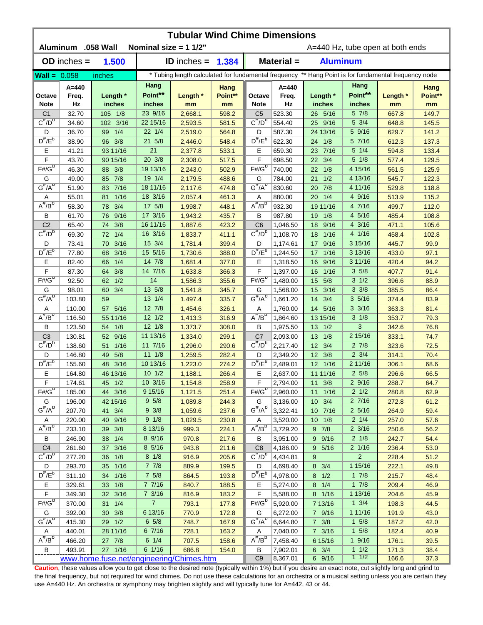| <b>Tubular Wind Chime Dimensions</b><br><b>Aluminum</b><br>.058 Wall<br>Nominal size = $11/2$ "<br>A=440 Hz, tube open at both ends |                 |                         |                   |                    |                |                                                                                                      |                      |                         |                   |                |               |  |  |
|-------------------------------------------------------------------------------------------------------------------------------------|-----------------|-------------------------|-------------------|--------------------|----------------|------------------------------------------------------------------------------------------------------|----------------------|-------------------------|-------------------|----------------|---------------|--|--|
|                                                                                                                                     | $OD$ inches $=$ | 1.500                   |                   | ID inches $=$      | 1.384          | $Material =$<br><b>Aluminum</b>                                                                      |                      |                         |                   |                |               |  |  |
| $\text{Wall} = 0.058$                                                                                                               |                 | inches                  |                   |                    |                | * Tubing length calculated for fundamental frequency ** Hang Point is for fundamental frequency node |                      |                         |                   |                |               |  |  |
|                                                                                                                                     | $A = 440$       |                         | Hang              |                    | Hang           |                                                                                                      | $A = 440$            |                         | Hang              |                | Hang          |  |  |
| Octave<br><b>Note</b>                                                                                                               | Freq.<br>Hz     | Length *<br>inches      | Point**<br>inches | Length *<br>mm     | Point**<br>mm  | Octave<br><b>Note</b>                                                                                | Freq.<br>Hz          | Length *<br>inches      | Point**<br>inches | Length *<br>mm | Point**<br>mm |  |  |
| C <sub>1</sub>                                                                                                                      | 32.70           | 105 1/8                 | 23 9/16           | 2,668.1            | 598.2          | C <sub>5</sub>                                                                                       | 523.30               | 26 5/16                 | 5 7/8             | 667.8          | 149.7         |  |  |
| $C^{\#}/D^b$                                                                                                                        | 34.60           | 102 3/16                | 22 15/16          | 2,593.5            | 581.5          | $C^{\#}/D^D$                                                                                         | 554.40               | 25 9/16                 | 5 3/4             | 648.8          | 145.5         |  |  |
| D                                                                                                                                   | 36.70           | 1/4<br>99               | 22 1/4            | 2,519.0            | 564.8          | D                                                                                                    | 587.30               | 24 13/16                | 5 9/16            | 629.7          | 141.2         |  |  |
| $D^{\#}/E^b$                                                                                                                        | 38.90           | 96 3/8                  | 21 5/8            | 2,446.0            | 548.4          | $D^{\prime\prime}/E^b$                                                                               | 622.30               | 24 1/8                  | 5 7/16            | 612.3          | 137.3         |  |  |
| Ε                                                                                                                                   | 41.21           | 93 11/16                | 21                | 2,377.8            | 533.1          | Ε                                                                                                    | 659.30               | 23 7/16                 | $5 \t1/4$         | 594.8          | 133.4         |  |  |
| F                                                                                                                                   | 43.70           | 90 15/16                | 20 3/8            | 2,308.0            | 517.5          | F                                                                                                    | 698.50               | 3/4<br>22               | $5 \frac{1}{8}$   | 577.4          | 129.5         |  |  |
| $F# / G^D$                                                                                                                          | 46.30           | 88 3/8                  | 19 13/16          | 2,243.0            | 502.9          | $F# / G^D$                                                                                           | 740.00               | 1/8<br>22               | 4 15/16           | 561.5          | 125.9         |  |  |
| G                                                                                                                                   | 49.00           | 85 7/8                  | 19 1/4            | 2,179.5            | 488.6          | G                                                                                                    | 784.00               | 1/2<br>21               | 4 13/16           | 545.7          | 122.3         |  |  |
| $G^{\#}/A^D$                                                                                                                        | 51.90           | 83 7/16                 | 18 11/16          | 2,117.6            | 474.8          | $G^{\#}/A^D$                                                                                         | 830.60               | 7/8<br>20               | 4 11/16           | 529.8          | 118.8         |  |  |
| Α                                                                                                                                   | 55.01           | 1/16<br>81              | 18 3/16           | 2,057.4            | 461.3          | Α                                                                                                    | 880.00               | 1/4<br>20               | 4 9/16            | 513.9          | 115.2         |  |  |
| $A^{\#}/B^D$                                                                                                                        | 58.30           | 3/4<br>78               | 17 5/8            | 1,998.7            | 448.1          | $A^{\overline{n}}/B^{\overline{D}}$                                                                  | 932.30               | 19 11/16                | 4 7/16            | 499.7          | 112.0         |  |  |
| В                                                                                                                                   | 61.70           | 9/16<br>76              | 17 3/16           | 1,943.2            | 435.7          | В                                                                                                    | 987.80               | 1/8<br>19               | 4 5/16            | 485.4          | 108.8         |  |  |
| C <sub>2</sub>                                                                                                                      | 65.40           | 3/8<br>74               | 16 11/16          | 1,887.6            | 423.2          | C <sub>6</sub>                                                                                       | 1,046.50             | 9/16<br>18              | 4 3/16            | 471.1          | 105.6         |  |  |
| $C^{\prime\prime}/D^D$                                                                                                              | 69.30           | 1/4<br>72               | 16 3/16           | 1,833.7            | 411.1          | $C^{\prime\prime}/D^D$                                                                               | 1,108.70             | 1/16<br>18              | 4 1/16            | 458.4          | 102.8         |  |  |
| D<br>$D^{\pi}/E^b$                                                                                                                  | 73.41           | 3/16<br>70              | 15 3/4            | 1,781.4            | 399.4          | D                                                                                                    | 1,174.61             | 9/16<br>17              | 3 15/16           | 445.7          | 99.9          |  |  |
|                                                                                                                                     | 77.80           | 3/16<br>68              | 15 5/16           | 1,730.6            | 388.0          | $D^{\#}/E^b$                                                                                         | 1,244.50             | 1/16<br>17              | 3 13/16           | 433.0          | 97.1          |  |  |
| Е<br>F                                                                                                                              | 82.40           | 1/4<br>66               | 14 7/8<br>14 7/16 | 1,681.4            | 377.0          | Е<br>F                                                                                               | 1,318.50             | 9/16<br>16              | 3 11/16<br>35/8   | 420.4          | 94.2          |  |  |
| $F# / G^D$                                                                                                                          | 87.30           | 3/8<br>64               | 14                | 1,633.8            | 366.3          | $F#/\overline{G}^D$                                                                                  | 1,397.00             | 1/16<br>16              | $3 \frac{1}{2}$   | 407.7          | 91.4          |  |  |
| G                                                                                                                                   | 92.50<br>98.01  | 1/2<br>62<br>3/4<br>60  | 13 5/8            | 1,586.3<br>1,541.8 | 355.6<br>345.7 | G                                                                                                    | 1,480.00<br>1,568.00 | 5/8<br>15<br>3/16<br>15 | $3 \frac{3}{8}$   | 396.6<br>385.5 | 88.9<br>86.4  |  |  |
| $G^{\#}/A^D$                                                                                                                        | 103.80          | 59                      | 13 1/4            | 1,497.4            | 335.7          | $G^{\#}/A^D$                                                                                         | 1,661.20             | 14<br>3/4               | 35/16             | 374.4          | 83.9          |  |  |
| Α                                                                                                                                   | 110.00          | 5/16<br>57              | 12 7/8            | 1,454.6            | 326.1          | Α                                                                                                    | 1,760.00             | 14 5/16                 | $3 \frac{3}{16}$  | 363.3          | 81.4          |  |  |
| $A^H/B^D$                                                                                                                           | 116.50          | 55 11/16                | $12 \frac{1}{2}$  | 1,413.3            | 316.9          | $A^{\overline{n}}/B^{\overline{D}}$                                                                  | 1,864.60             | 13 15/16                | $3 \frac{1}{8}$   | 353.7          | 79.3          |  |  |
| В                                                                                                                                   | 123.50          | 1/8<br>54               | $12 \frac{1}{8}$  | 1,373.7            | 308.0          | В                                                                                                    | 1,975.50             | $13 \t1/2$              | 3                 | 342.6          | 76.8          |  |  |
| C <sub>3</sub>                                                                                                                      | 130.81          | 9/16<br>52 <sub>2</sub> | 11 13/16          | 1,334.0            | 299.1          | C <sub>7</sub>                                                                                       | 2,093.00             | 13 1/8                  | 2 15/16           | 333.1          | 74.7          |  |  |
| $C^{\prime\prime}/D^b$                                                                                                              | 138.60          | $1/16$<br>51            | 11 7/16           | 1,296.0            | 290.6          | $C^{\prime\prime}/D^b$                                                                               | 2,217.40             | 12 3/4                  | $2 \frac{7}{8}$   | 323.6          | 72.5          |  |  |
| D                                                                                                                                   | 146.80          | 5/8<br>49               | $11 \t1/8$        | 1,259.5            | 282.4          | D                                                                                                    | 2,349.20             | 12 3/8                  | $2 \frac{3}{4}$   | 314.1          | 70.4          |  |  |
| $D^{\#}/E^b$                                                                                                                        | 155.60          | 3/16<br>48              | 10 13/16          | 1,223.0            | 274.2          | $D^{\#}/E^b$                                                                                         | 2,489.01             | 12 1/16                 | 2 11/16           | 306.1          | 68.6          |  |  |
| Е                                                                                                                                   | 164.80          | 46 13/16                | $10 \frac{1}{2}$  | 1,188.1            | 266.4          | Е                                                                                                    | 2,637.00             | 11 11/16                | $2\,5/8$          | 296.6          | 66.5          |  |  |
| F                                                                                                                                   | 174.61          | 45 1/2                  | 10 3/16           | 1,154.8            | 258.9          | F                                                                                                    | 2,794.00             | $11 \t3/8$              | 2 9/16            | 288.7          | 64.7          |  |  |
| $F#/\overline{G}^D$                                                                                                                 | 185.00          | 44 3/16                 | 9 15/16           | 1,121.5            | 251.4          | $F#/\overline{G}^D$                                                                                  | 2,960.00             | $11 \t1/16$             | $2 \frac{1}{2}$   | 280.8          | 62.9          |  |  |
| G                                                                                                                                   | 196.00          | 42 15/16                | 9 5/8             | 1,089.8            | 244.3          | G                                                                                                    | 3,136.00             | 10 3/4                  | 27/16             | 272.8          | 61.2          |  |  |
| $G^{\#}/A^D$                                                                                                                        | 207.70          | 41 3/4                  | $9 \frac{3}{8}$   | 1,059.6            | 237.6          | $G^H/A^D$                                                                                            | 3,322.41             | 10 7/16                 | $2\frac{5}{16}$   | 264.9          | 59.4          |  |  |
| Α                                                                                                                                   | 220.00          | 40 9/16                 | 9 1/8             | 1,029.5            | 230.8          | Α                                                                                                    | 3,520.00             | $10 \t1/8$              | $2 \frac{1}{4}$   | 257.0          | 57.6          |  |  |
| $A^{\#}/B^D$                                                                                                                        | 233.10          | 3/8<br>39               | 8 13/16           | 999.3              | 224.1          | $A^{\overline{n}}/B^{\overline{D}}$                                                                  | 3,729.20             | $9 \t7/8$               | $2 \frac{3}{16}$  | 250.6          | 56.2          |  |  |
| В                                                                                                                                   | 246.90          | 38 1/4                  | 8 9/16            | 970.8              | 217.6          | В                                                                                                    | 3,951.00             | 9 9/16                  | $2 \frac{1}{8}$   | 242.7          | 54.4          |  |  |
| C <sub>4</sub>                                                                                                                      | 261.60          | 3/16<br>37              | 8 5/16            | 943.8              | 211.6          | C <sub>8</sub>                                                                                       | 4,186.00             | 9 5/16                  | $2 \frac{1}{16}$  | 236.4          | 53.0          |  |  |
| $C^{\frac{\pi}{}}/D^b$                                                                                                              | 277.20          | 1/8<br>36               | $8 \frac{1}{8}$   | 916.9              | 205.6          | $C^{\pi}/D^b$                                                                                        | 4,434.81             | 9                       | $\overline{2}$    | 228.4          | 51.2          |  |  |
| D                                                                                                                                   | 293.70          | 35 1/16                 | $7 \t7/8$         | 889.9              | 199.5          | D                                                                                                    | 4,698.40             | 8 3/4                   | 1 15/16           | 222.1          | 49.8          |  |  |
| $D^{\frac{\pi}{r}}/E^b$                                                                                                             | 311.10          | 34 1/16                 | $7\;5/8$          | 864.5              | 193.8          | $D^{\#}/E^b$                                                                                         | 4,978.00             | $8 \t1/2$               | $1 \t7/8$         | 215.7          | 48.4          |  |  |
| Е                                                                                                                                   | 329.61          | 33 1/8                  | 7 7/16            | 840.7              | 188.5          | Е                                                                                                    | 5,274.00             | $8 \t1/4$               | 17/8              | 209.4          | 46.9          |  |  |
| F                                                                                                                                   | 349.30          | 32 3/16                 | $7 \frac{3}{16}$  | 816.9              | 183.2          | F                                                                                                    | 5,588.00             | 8 1/16                  | 1 13/16           | 204.6          | 45.9          |  |  |
| $F# / G^D$                                                                                                                          | 370.00          | $31 \t1/4$              | $\overline{7}$    | 793.1              | 177.8          | $F# / G^D$                                                                                           | 5,920.00             | 7 13/16                 | $1 \frac{3}{4}$   | 198.3          | 44.5          |  |  |
| G                                                                                                                                   | 392.00          | 30 3/8                  | 6 13/16           | 770.9              | 172.8          | G                                                                                                    | 6,272.00             | 7 9/16                  | 1 11/16           | 191.9          | 43.0          |  |  |
| $G^{\#}/A^D$                                                                                                                        | 415.30          | 29 1/2                  | $6\;\;5/8$        | 748.7              | 167.9          | $G^H/A^D$                                                                                            | 6,644.80             | $7 \frac{3}{8}$         | $1 \t5/8$         | 187.2          | 42.0          |  |  |
| A<br>$A^{\#}/B^D$                                                                                                                   | 440.01          | 28 11/16                | 6 7/16            | 728.1              | 163.2          | A                                                                                                    | 7,040.00             | $7 \frac{3}{16}$        | $1 \t5/8$         | 182.4          | 40.9          |  |  |
|                                                                                                                                     | 466.20          | 27 7/8                  | $6 \t1/4$         | 707.5              | 158.6          | $A^H/B^D$                                                                                            | 7,458.40             | 6 15/16                 | 19/16<br>11/2     | 176.1          | 39.5          |  |  |
| B                                                                                                                                   | 493.91          | 27 1/16                 | 6 1/16            | 686.8              | 154.0          | В<br>C <sub>9</sub>                                                                                  | 7,902.01<br>8,367.01 | $6 \t3/4$<br>6 9/16     | $1 \t1/2$         | 171.3<br>166.6 | 38.4<br>37.3  |  |  |
| www.home.fuse.net/engineering/Chimes.htm                                                                                            |                 |                         |                   |                    |                |                                                                                                      |                      |                         |                   |                |               |  |  |